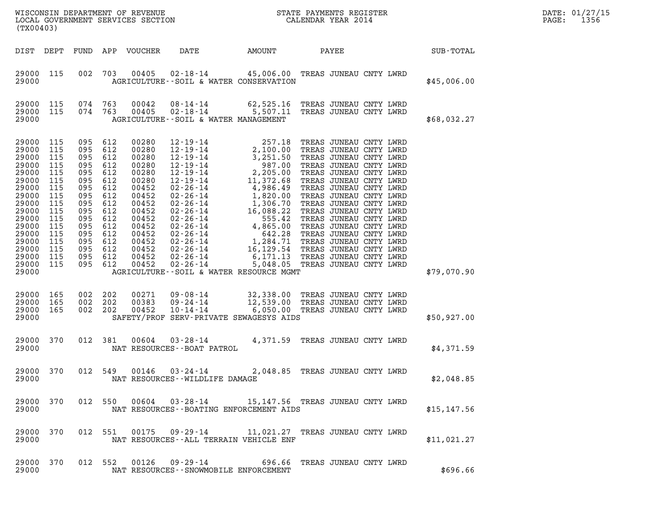| (TX00403)    |      |     | WISCONSIN DEPARTMENT OF REVENUE<br>LOCAL GOVERNMENT SERVICES SECTION |      |        | STATE PAYMENTS REGISTER<br>CALENDAR YEAR 2014 |           | DATE: 01/27/15<br>1356<br>PAGE: |
|--------------|------|-----|----------------------------------------------------------------------|------|--------|-----------------------------------------------|-----------|---------------------------------|
| DIST<br>DEPT | FUND | APP | VOUCHER                                                              | DATE | AMOUNT | PAYEE                                         | SUB-TOTAL |                                 |

| (TX00403)                                                                                                                                                      |                                                                                                                     |                                                                                                                     |                                                                                                                     |                                                                                                                                                       |                                                                                                                                                                                                                                                                                                                                               |                                                                                                                                                                                                                                                               |       |                                                                                                                                                                                                                                                                                                                                                                                                             |             |
|----------------------------------------------------------------------------------------------------------------------------------------------------------------|---------------------------------------------------------------------------------------------------------------------|---------------------------------------------------------------------------------------------------------------------|---------------------------------------------------------------------------------------------------------------------|-------------------------------------------------------------------------------------------------------------------------------------------------------|-----------------------------------------------------------------------------------------------------------------------------------------------------------------------------------------------------------------------------------------------------------------------------------------------------------------------------------------------|---------------------------------------------------------------------------------------------------------------------------------------------------------------------------------------------------------------------------------------------------------------|-------|-------------------------------------------------------------------------------------------------------------------------------------------------------------------------------------------------------------------------------------------------------------------------------------------------------------------------------------------------------------------------------------------------------------|-------------|
| DIST                                                                                                                                                           | DEPT                                                                                                                | FUND                                                                                                                | APP                                                                                                                 | VOUCHER                                                                                                                                               | DATE                                                                                                                                                                                                                                                                                                                                          | AMOUNT                                                                                                                                                                                                                                                        | PAYEE |                                                                                                                                                                                                                                                                                                                                                                                                             | SUB-TOTAL   |
| 29000<br>29000                                                                                                                                                 | 115                                                                                                                 | 002                                                                                                                 | 703                                                                                                                 | 00405                                                                                                                                                 | $02 - 18 - 14$<br>AGRICULTURE--SOIL & WATER CONSERVATION                                                                                                                                                                                                                                                                                      | 45,006.00 TREAS JUNEAU CNTY LWRD                                                                                                                                                                                                                              |       |                                                                                                                                                                                                                                                                                                                                                                                                             | \$45,006.00 |
| 29000<br>29000<br>29000                                                                                                                                        | 115<br>115                                                                                                          | 074<br>074                                                                                                          | 763<br>763                                                                                                          | 00042<br>00405                                                                                                                                        | 08-14-14<br>$02 - 18 - 14$<br>AGRICULTURE--SOIL & WATER MANAGEMENT                                                                                                                                                                                                                                                                            | 62,525.16<br>5,507.11                                                                                                                                                                                                                                         |       | TREAS JUNEAU CNTY LWRD<br>TREAS JUNEAU CNTY LWRD                                                                                                                                                                                                                                                                                                                                                            | \$68,032.27 |
| 29000<br>29000<br>29000<br>29000<br>29000<br>29000<br>29000<br>29000<br>29000<br>29000<br>29000<br>29000<br>29000<br>29000<br>29000<br>29000<br>29000<br>29000 | 115<br>115<br>115<br>115<br>115<br>115<br>115<br>115<br>115<br>115<br>115<br>115<br>115<br>115<br>115<br>115<br>115 | 095<br>095<br>095<br>095<br>095<br>095<br>095<br>095<br>095<br>095<br>095<br>095<br>095<br>095<br>095<br>095<br>095 | 612<br>612<br>612<br>612<br>612<br>612<br>612<br>612<br>612<br>612<br>612<br>612<br>612<br>612<br>612<br>612<br>612 | 00280<br>00280<br>00280<br>00280<br>00280<br>00280<br>00452<br>00452<br>00452<br>00452<br>00452<br>00452<br>00452<br>00452<br>00452<br>00452<br>00452 | $12 - 19 - 14$<br>$12 - 19 - 14$<br>$12 - 19 - 14$<br>$12 - 19 - 14$<br>$12 - 19 - 14$<br>$12 - 19 - 14$<br>$02 - 26 - 14$<br>$02 - 26 - 14$<br>$02 - 26 - 14$<br>$02 - 26 - 14$<br>$02 - 26 - 14$<br>$02 - 26 - 14$<br>$02 - 26 - 14$<br>02-26-14<br>$02 - 26 - 14$<br>02-26-14<br>$02 - 26 - 14$<br>AGRICULTURE--SOIL & WATER RESOURCE MGMT | 257.18<br>2,100.00<br>3,251.50<br>3,251.50<br>987.00<br>2,205.00<br>2,205.00<br>11,372.68<br>4,986.49<br>1,820.00<br>1,306.70<br>16,088.22<br>555.42<br>4,865.00<br>642.28<br>1,284.71 TREAS JUNEAU CNTY LWRD<br>16,129.54 TREAS JUNEAU CNTY LWRD<br>6,171.13 |       | TREAS JUNEAU CNTY LWRD<br>TREAS JUNEAU CNTY LWRD<br>TREAS JUNEAU CNTY LWRD<br>TREAS JUNEAU CNTY LWRD<br>TREAS JUNEAU CNTY LWRD<br>TREAS JUNEAU CNTY LWRD<br>TREAS JUNEAU CNTY LWRD<br>TREAS JUNEAU CNTY LWRD<br>TREAS JUNEAU CNTY LWRD<br>TREAS JUNEAU CNTY LWRD<br>TREAS JUNEAU CNTY LWRD<br>TREAS JUNEAU CNTY LWRD<br>TREAS JUNEAU CNTY LWRD<br>TREAS JUNEAU CNTY LWRD<br>5,048.05 TREAS JUNEAU CNTY LWRD | \$79,070.90 |
| 29000<br>29000<br>29000<br>29000                                                                                                                               | 165<br>165<br>165                                                                                                   | 002<br>002<br>002                                                                                                   | 202<br>202<br>202                                                                                                   | 00271<br>00383<br>00452                                                                                                                               | $09 - 08 - 14$<br>09-24-14<br>$10 - 14 - 14$<br>SAFETY/PROF SERV-PRIVATE SEWAGESYS AIDS                                                                                                                                                                                                                                                       | 6,050.00                                                                                                                                                                                                                                                      |       | 32,338.00 TREAS JUNEAU CNTY LWRD<br>12,539.00 TREAS JUNEAU CNTY LWRD<br>TREAS JUNEAU CNTY LWRD                                                                                                                                                                                                                                                                                                              | \$50,927.00 |
| 29000<br>29000                                                                                                                                                 | 370                                                                                                                 | 012                                                                                                                 | 381                                                                                                                 | 00604                                                                                                                                                 | $03 - 28 - 14$<br>NAT RESOURCES - - BOAT PATROL                                                                                                                                                                                                                                                                                               | 4,371.59                                                                                                                                                                                                                                                      |       | TREAS JUNEAU CNTY LWRD                                                                                                                                                                                                                                                                                                                                                                                      | \$4,371.59  |
| 29000<br>29000                                                                                                                                                 | 370                                                                                                                 | 012                                                                                                                 | 549                                                                                                                 | 00146                                                                                                                                                 | $03 - 24 - 14$<br>NAT RESOURCES - - WILDLIFE DAMAGE                                                                                                                                                                                                                                                                                           |                                                                                                                                                                                                                                                               |       | 2,048.85 TREAS JUNEAU CNTY LWRD                                                                                                                                                                                                                                                                                                                                                                             | \$2,048.85  |
| 29000<br>29000                                                                                                                                                 | 370                                                                                                                 | 012                                                                                                                 | 550                                                                                                                 | 00604                                                                                                                                                 | $03 - 28 - 14$<br>NAT RESOURCES - - BOATING ENFORCEMENT AIDS                                                                                                                                                                                                                                                                                  | 15, 147.56                                                                                                                                                                                                                                                    |       | TREAS JUNEAU CNTY LWRD                                                                                                                                                                                                                                                                                                                                                                                      | \$15,147.56 |
| 29000<br>29000                                                                                                                                                 | 370                                                                                                                 | 012                                                                                                                 | 551                                                                                                                 |                                                                                                                                                       | 00175 09-29-14<br>NAT RESOURCES--ALL TERRAIN VEHICLE ENF                                                                                                                                                                                                                                                                                      |                                                                                                                                                                                                                                                               |       | 11,021.27 TREAS JUNEAU CNTY LWRD                                                                                                                                                                                                                                                                                                                                                                            | \$11,021.27 |
| 29000<br>29000                                                                                                                                                 | 370                                                                                                                 | 012                                                                                                                 | 552                                                                                                                 |                                                                                                                                                       | 00126 09-29-14<br>NAT RESOURCES - - SNOWMOBILE ENFORCEMENT                                                                                                                                                                                                                                                                                    | 696.66                                                                                                                                                                                                                                                        |       | TREAS JUNEAU CNTY LWRD                                                                                                                                                                                                                                                                                                                                                                                      | \$696.66    |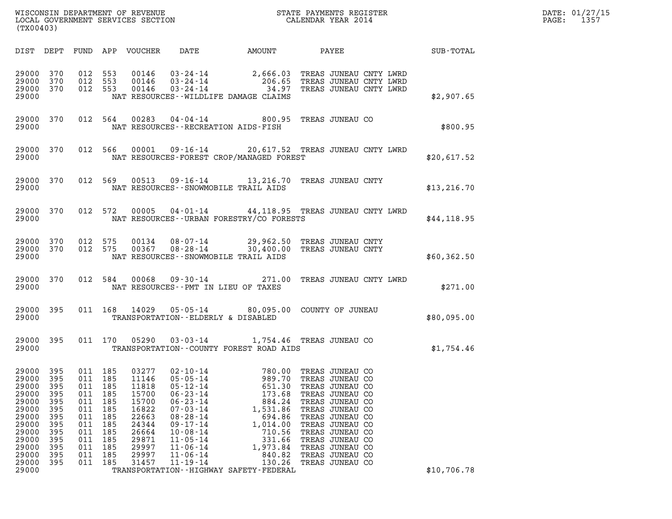| (TX00403)                                                                                                                  |                                                                                         |                                                                                             |                                                                                  |                                                                                                                   |                                                                                                                                                                                                                                        |                                                                                                                                                                                                 |                                                                                                                                                                                                                                                     |                 | DATE: 01/27/15<br>$\mathtt{PAGE:}$<br>1357 |
|----------------------------------------------------------------------------------------------------------------------------|-----------------------------------------------------------------------------------------|---------------------------------------------------------------------------------------------|----------------------------------------------------------------------------------|-------------------------------------------------------------------------------------------------------------------|----------------------------------------------------------------------------------------------------------------------------------------------------------------------------------------------------------------------------------------|-------------------------------------------------------------------------------------------------------------------------------------------------------------------------------------------------|-----------------------------------------------------------------------------------------------------------------------------------------------------------------------------------------------------------------------------------------------------|-----------------|--------------------------------------------|
|                                                                                                                            |                                                                                         |                                                                                             |                                                                                  | DIST DEPT FUND APP VOUCHER                                                                                        |                                                                                                                                                                                                                                        | DATE AMOUNT                                                                                                                                                                                     |                                                                                                                                                                                                                                                     | PAYEE SUB-TOTAL |                                            |
| 29000 370<br>29000 370<br>29000 370<br>29000                                                                               |                                                                                         | 012 553                                                                                     | 012 553<br>012 553                                                               |                                                                                                                   |                                                                                                                                                                                                                                        | 00146  03-24-14  2,666.03  TREAS JUNEAU CNTY LWRD<br>00146  03-24-14  206.65  TREAS JUNEAU CNTY LWRD<br>00146  03-24-14  34.97  TREAS JUNEAU CNTY LWRD<br>NAT RESOURCES--WILDLIFE DAMAGE CLAIMS |                                                                                                                                                                                                                                                     | \$2,907.65      |                                            |
| 29000                                                                                                                      | 29000 370                                                                               |                                                                                             |                                                                                  |                                                                                                                   | NAT RESOURCES -- RECREATION AIDS-FISH                                                                                                                                                                                                  | 012 564 00283 04-04-14 800.95 TREAS JUNEAU CO                                                                                                                                                   |                                                                                                                                                                                                                                                     | \$800.95        |                                            |
| 29000                                                                                                                      | 29000 370                                                                               |                                                                                             |                                                                                  |                                                                                                                   |                                                                                                                                                                                                                                        | 012 566 00001 09-16-14 20,617.52 TREAS JUNEAU CNTY LWRD<br>NAT RESOURCES-FOREST CROP/MANAGED FOREST                                                                                             |                                                                                                                                                                                                                                                     | \$20,617.52     |                                            |
| 29000                                                                                                                      | 29000 370                                                                               |                                                                                             |                                                                                  |                                                                                                                   |                                                                                                                                                                                                                                        | 012 569 00513 09-16-14 13, 216.70 TREAS JUNEAU CNTY<br>NAT RESOURCES - - SNOWMOBILE TRAIL AIDS                                                                                                  |                                                                                                                                                                                                                                                     | \$13, 216.70    |                                            |
| 29000                                                                                                                      | 29000 370                                                                               |                                                                                             |                                                                                  |                                                                                                                   |                                                                                                                                                                                                                                        | 012 572 00005 04-01-14 44,118.95 TREAS JUNEAU CNTY LWRD<br>NAT RESOURCES--URBAN FORESTRY/CO FORESTS                                                                                             |                                                                                                                                                                                                                                                     | \$44,118.95     |                                            |
| 29000 370<br>29000                                                                                                         | 29000 370                                                                               | 012 575<br>012 575                                                                          |                                                                                  |                                                                                                                   |                                                                                                                                                                                                                                        | 00134  08-07-14  29,962.50  TREAS JUNEAU CNTY<br>00367 08-28-14 30,400.00 TREAS JUNEAU CNTY<br>NAT RESOURCES - - SNOWMOBILE TRAIL AIDS                                                          |                                                                                                                                                                                                                                                     | \$60,362.50     |                                            |
| 29000 370<br>29000                                                                                                         |                                                                                         |                                                                                             | 012 584                                                                          |                                                                                                                   | NAT RESOURCES -- PMT IN LIEU OF TAXES                                                                                                                                                                                                  | 00068  09-30-14  271.00  TREAS JUNEAU CNTY LWRD                                                                                                                                                 |                                                                                                                                                                                                                                                     | \$271.00        |                                            |
| 29000 395<br>29000                                                                                                         |                                                                                         |                                                                                             |                                                                                  | 011 168 14029                                                                                                     | TRANSPORTATION--ELDERLY & DISABLED                                                                                                                                                                                                     | 05-05-14 80,095.00 COUNTY OF JUNEAU                                                                                                                                                             |                                                                                                                                                                                                                                                     | \$80,095.00     |                                            |
| 29000                                                                                                                      | 29000 395                                                                               |                                                                                             |                                                                                  |                                                                                                                   |                                                                                                                                                                                                                                        | 011 170 05290 03-03-14 1,754.46 TREAS JUNEAU CO<br>TRANSPORTATION--COUNTY FOREST ROAD AIDS                                                                                                      |                                                                                                                                                                                                                                                     | \$1,754.46      |                                            |
| 29000<br>29000<br>29000<br>29000<br>29000<br>29000<br>29000<br>29000<br>29000<br>29000<br>29000<br>29000<br>29000<br>29000 | 395<br>395<br>395<br>395<br>395<br>395<br>395<br>395<br>395<br>395<br>395<br>395<br>395 | 011 185<br>011<br>011<br>011<br>011<br>011<br>011<br>011<br>011<br>011<br>011<br>011<br>011 | 185<br>185<br>185<br>185<br>185<br>185<br>185<br>185<br>185<br>185<br>185<br>185 | 03277<br>11146<br>11818<br>15700<br>15700<br>16822<br>22663<br>24344<br>26664<br>29871<br>29997<br>29997<br>31457 | $02 - 10 - 14$<br>$05 - 05 - 14$<br>$05 - 12 - 14$<br>$06 - 23 - 14$<br>$06 - 23 - 14$<br>$07 - 03 - 14$<br>$08 - 28 - 14$<br>$09 - 17 - 14$<br>$10 - 08 - 14$<br>$11 - 05 - 14$<br>$11 - 06 - 14$<br>$11 - 06 - 14$<br>$11 - 19 - 14$ | 780.00<br>989.70<br>651.30<br>173.68<br>884.24<br>1,531.86<br>694.86<br>1,014.00<br>710.56<br>331.66<br>1,973.84<br>840.82<br>130.26<br>TRANSPORTATION - - HIGHWAY SAFETY - FEDERAL             | TREAS JUNEAU CO<br>TREAS JUNEAU CO<br>TREAS JUNEAU CO<br>TREAS JUNEAU CO<br>TREAS JUNEAU CO<br>TREAS JUNEAU CO<br>TREAS JUNEAU CO<br>TREAS JUNEAU CO<br>TREAS JUNEAU CO<br>TREAS JUNEAU CO<br>TREAS JUNEAU CO<br>TREAS JUNEAU CO<br>TREAS JUNEAU CO | \$10,706.78     |                                            |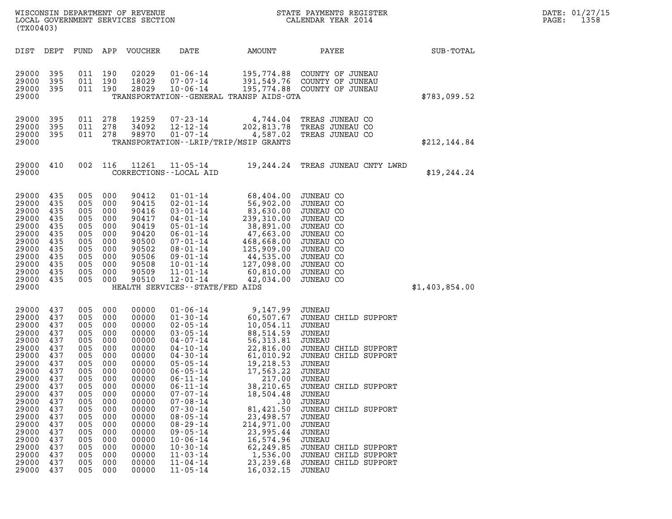| DATE: | 01/27/15 |
|-------|----------|
| PAGE: | 1358     |

| (TX00403)                                                                                                                                                                                          |                                                                                                                                                        |                                                                                                                                                                |                                                                                                                                          | WISCONSIN DEPARTMENT OF REVENUE<br>LOCAL GOVERNMENT SERVICES SECTION                                                                                                                               |                                                                                                                                                                                                                                                                                                                                                                                                          |                                                                                                                                                                                                                                                                                     | STATE PAYMENTS REGISTER<br>CALENDAR YEAR 2014                                                                                                                                                                                                                                                                                                             |                | DATE: 01/27/15<br>1358<br>PAGE: |
|----------------------------------------------------------------------------------------------------------------------------------------------------------------------------------------------------|--------------------------------------------------------------------------------------------------------------------------------------------------------|----------------------------------------------------------------------------------------------------------------------------------------------------------------|------------------------------------------------------------------------------------------------------------------------------------------|----------------------------------------------------------------------------------------------------------------------------------------------------------------------------------------------------|----------------------------------------------------------------------------------------------------------------------------------------------------------------------------------------------------------------------------------------------------------------------------------------------------------------------------------------------------------------------------------------------------------|-------------------------------------------------------------------------------------------------------------------------------------------------------------------------------------------------------------------------------------------------------------------------------------|-----------------------------------------------------------------------------------------------------------------------------------------------------------------------------------------------------------------------------------------------------------------------------------------------------------------------------------------------------------|----------------|---------------------------------|
| DIST DEPT                                                                                                                                                                                          |                                                                                                                                                        |                                                                                                                                                                |                                                                                                                                          | FUND APP VOUCHER                                                                                                                                                                                   | DATE                                                                                                                                                                                                                                                                                                                                                                                                     | AMOUNT                                                                                                                                                                                                                                                                              | PAYEE                                                                                                                                                                                                                                                                                                                                                     | SUB-TOTAL      |                                 |
| 29000<br>29000<br>29000<br>29000                                                                                                                                                                   | 395<br>395<br>395                                                                                                                                      | 011 190<br>011 190<br>011 190                                                                                                                                  |                                                                                                                                          | 02029<br>18029<br>28029                                                                                                                                                                            | $01 - 06 - 14$<br>$07 - 07 - 14$<br>$10 - 06 - 14$                                                                                                                                                                                                                                                                                                                                                       | TRANSPORTATION - - GENERAL TRANSP AIDS - GTA                                                                                                                                                                                                                                        | 195,774.88 COUNTY OF JUNEAU<br>391,549.76 COUNTY OF JUNEAU<br>195,774.88 COUNTY OF JUNEAU                                                                                                                                                                                                                                                                 | \$783,099.52   |                                 |
| 29000<br>29000<br>29000<br>29000                                                                                                                                                                   | 395<br>395<br>395                                                                                                                                      | 011 278<br>011 278<br>011 278                                                                                                                                  |                                                                                                                                          | 19259<br>34092<br>98970                                                                                                                                                                            | 07-23-14<br>$12 - 12 - 14$<br>$01 - 07 - 14$                                                                                                                                                                                                                                                                                                                                                             | 202,813.78<br>4,587.02<br>TRANSPORTATION - - LRIP/TRIP/MSIP GRANTS                                                                                                                                                                                                                  | 4,744.04 TREAS JUNEAU CO<br>TREAS JUNEAU CO<br>TREAS JUNEAU CO                                                                                                                                                                                                                                                                                            | \$212,144.84   |                                 |
| 29000<br>29000                                                                                                                                                                                     | 410                                                                                                                                                    |                                                                                                                                                                | 002 116                                                                                                                                  | 11261                                                                                                                                                                                              | $11 - 05 - 14$<br>CORRECTIONS - - LOCAL AID                                                                                                                                                                                                                                                                                                                                                              |                                                                                                                                                                                                                                                                                     | 19,244.24 TREAS JUNEAU CNTY LWRD                                                                                                                                                                                                                                                                                                                          | \$19, 244.24   |                                 |
| 29000<br>29000<br>29000<br>29000<br>29000<br>29000<br>29000<br>29000<br>29000<br>29000<br>29000<br>29000<br>29000                                                                                  | 435<br>435<br>435<br>435<br>435<br>435<br>435<br>435<br>435<br>435<br>435<br>435                                                                       | 005 000<br>005<br>005<br>005<br>005<br>005<br>005<br>005<br>005 000<br>005<br>005<br>005 000                                                                   | 000<br>000<br>000<br>000<br>000<br>000<br>000<br>000<br>000                                                                              | 90412<br>90415<br>90416<br>90417<br>90419<br>90420<br>90500<br>90502<br>90506<br>90508<br>90509<br>90510                                                                                           | $01 - 01 - 14$<br>$02 - 01 - 14$<br>$03 - 01 - 14$<br>$04 - 01 - 14$<br>$05 - 01 - 14$<br>$06 - 01 - 14$<br>$07 - 01 - 14$<br>$08 - 01 - 14$<br>$09 - 01 - 14$<br>$10 - 01 - 14$<br>$11 - 01 - 14$<br>$12 - 01 - 14$<br>HEALTH SERVICES -- STATE/FED AIDS                                                                                                                                                | 68,404.00<br>56,902.00<br>83,630.00<br>239,310.00<br>38,891.00<br>47,663.00<br>468,668.00<br>468,668.00<br>125,909.00<br>44,535.00<br>127,098.00<br>60,810.00<br>42,034.00                                                                                                          | JUNEAU CO<br>JUNEAU CO<br>JUNEAU CO<br>JUNEAU CO<br>JUNEAU CO<br>JUNEAU CO<br>JUNEAU CO<br>JUNEAU CO<br>JUNEAU CO<br>JUNEAU CO<br>JUNEAU CO<br>JUNEAU CO                                                                                                                                                                                                  | \$1,403,854.00 |                                 |
| 29000<br>29000<br>29000<br>29000<br>29000<br>29000<br>29000<br>29000<br>29000<br>29000<br>29000<br>29000<br>29000<br>29000<br>29000<br>29000<br>29000<br>29000<br>29000<br>29000<br>29000<br>29000 | 437<br>437<br>437<br>437<br>437<br>437<br>437<br>437<br>437<br>437<br>437<br>437<br>437<br>437<br>437<br>437<br>437<br>437<br>437<br>437<br>437<br>437 | 005 000<br>005 000<br>005<br>005<br>005<br>005<br>005<br>005<br>005<br>005<br>005<br>005<br>005<br>005<br>005<br>005<br>005<br>005<br>005<br>005<br>005<br>005 | 000<br>000<br>000<br>000<br>000<br>000<br>000<br>000<br>000<br>000<br>000<br>000<br>000<br>000<br>000<br>000<br>000<br>000<br>000<br>000 | 00000<br>00000<br>00000<br>00000<br>00000<br>00000<br>00000<br>00000<br>00000<br>00000<br>00000<br>00000<br>00000<br>00000<br>00000<br>00000<br>00000<br>00000<br>00000<br>00000<br>00000<br>00000 | $01 - 06 - 14$<br>$01 - 30 - 14$<br>$02 - 05 - 14$<br>$03 - 05 - 14$<br>$04 - 07 - 14$<br>$04 - 10 - 14$<br>$04 - 30 - 14$<br>$05 - 05 - 14$<br>$06 - 05 - 14$<br>$06 - 11 - 14$<br>$06 - 11 - 14$<br>$07 - 07 - 14$<br>$07 - 08 - 14$<br>$07 - 30 - 14$<br>$08 - 05 - 14$<br>$08 - 29 - 14$<br>$09 - 05 - 14$<br>$10 - 06 - 14$<br>$10 - 30 - 14$<br>$11 - 03 - 14$<br>$11 - 04 - 14$<br>$11 - 05 - 14$ | 9,147.99<br>$10,054.11$<br>88.514.59<br>88,514.59<br>56,313.81<br>22,816.00<br>61,010.92<br>19,218.53<br>17,563.22<br>217.00<br>38,210.65<br>18,504.48<br>.30<br>81,421.50<br>23,498.57<br>214,971.00<br>23,995.44<br>16,574.96<br>62,249.85<br>1,536.00<br>23, 239.68<br>16,032.15 | JUNEAU<br>60,507.67 JUNEAU CHILD SUPPORT<br>JUNEAU<br>JUNEAU<br>JUNEAU<br>JUNEAU CHILD SUPPORT<br>JUNEAU CHILD SUPPORT<br>JUNEAU<br>JUNEAU<br>JUNEAU<br>JUNEAU CHILD SUPPORT<br><b>JUNEAU</b><br>JUNEAU<br>JUNEAU CHILD SUPPORT<br>JUNEAU<br>JUNEAU<br>JUNEAU<br>JUNEAU<br>JUNEAU CHILD SUPPORT<br>JUNEAU CHILD SUPPORT<br>JUNEAU CHILD SUPPORT<br>JUNEAU |                |                                 |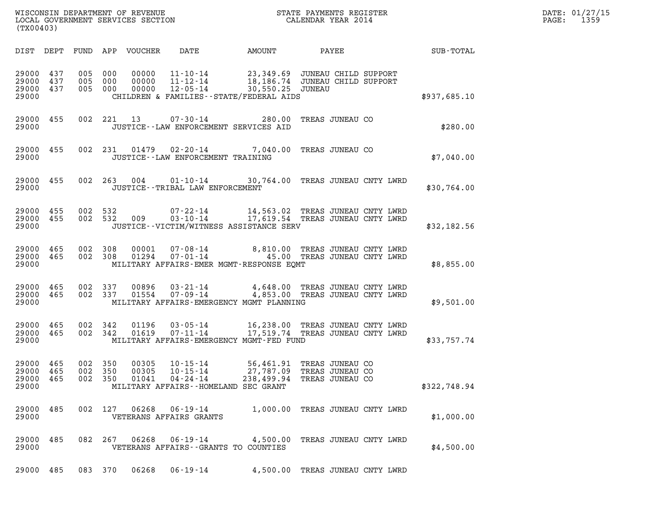| WISCONSIN DEPARTMENT OF REVENUE   | STATE PAYMENTS REGISTER | DATE: 01/27/15 |
|-----------------------------------|-------------------------|----------------|
| LOCAL GOVERNMENT SERVICES SECTION | CALENDAR YEAR 2014      | 1359<br>PAGE:  |

| (TX00403)                        |                   |                   |                   | WISCONSIN DEPARTMENT OF REVENUE<br>LOCAL GOVERNMENT SERVICES SECTION |                                                                                                  |                                                                                      | STATE PAYMENTS REGISTER<br>CALENDAR YEAR 2014                      |              |
|----------------------------------|-------------------|-------------------|-------------------|----------------------------------------------------------------------|--------------------------------------------------------------------------------------------------|--------------------------------------------------------------------------------------|--------------------------------------------------------------------|--------------|
| DIST                             | DEPT              | FUND              | APP               | VOUCHER                                                              | DATE                                                                                             | AMOUNT                                                                               | PAYEE                                                              | SUB-TOTAL    |
| 29000<br>29000<br>29000<br>29000 | 437<br>437<br>437 | 005<br>005<br>005 | 000<br>000<br>000 | 00000<br>00000<br>00000                                              | $11 - 10 - 14$<br>$11 - 12 - 14$<br>$12 - 05 - 14$<br>CHILDREN & FAMILIES - - STATE/FEDERAL AIDS | 23,349.69 JUNEAU CHILD SUPPORT<br>18,186.74 JUNEAU CHILD SUPPORT<br>30,550.25 JUNEAU |                                                                    | \$937,685.10 |
| 29000<br>29000                   | 455               | 002               | 221               | 13                                                                   | $07 - 30 - 14$<br>JUSTICE--LAW ENFORCEMENT SERVICES AID                                          | 280.00                                                                               | TREAS JUNEAU CO                                                    | \$280.00     |
| 29000<br>29000                   | 455               | 002               | 231               | 01479                                                                | $02 - 20 - 14$<br>JUSTICE - - LAW ENFORCEMENT TRAINING                                           | 7,040.00                                                                             | TREAS JUNEAU CO                                                    | \$7,040.00   |
| 29000<br>29000                   | 455               | 002               | 263               | 004                                                                  | $01 - 10 - 14$<br>JUSTICE - - TRIBAL LAW ENFORCEMENT                                             | 30,764.00 TREAS JUNEAU CNTY LWRD                                                     |                                                                    | \$30,764.00  |
| 29000<br>29000<br>29000          | 455<br>455        | 002<br>002        | 532<br>532        | 009                                                                  | $07 - 22 - 14$<br>$03 - 10 - 14$<br>JUSTICE - - VICTIM/WITNESS ASSISTANCE SERV                   | 14, 505.02 INDIA JUNEAU CNTY LWRD                                                    | 14,563.02 TREAS JUNEAU CNTY LWRD                                   | \$32,182.56  |
| 29000<br>29000<br>29000          | 465<br>465        | 002<br>002        | 308<br>308        | 00001<br>01294                                                       | $07 - 08 - 14$<br>$07 - 01 - 14$<br>MILITARY AFFAIRS-EMER MGMT-RESPONSE EQMT                     |                                                                                      | 8,810.00 TREAS JUNEAU CNTY LWRD<br>45.00 TREAS JUNEAU CNTY LWRD    | \$8,855.00   |
| 29000<br>29000<br>29000          | 465<br>465        | 002<br>002        | 337<br>337        | 00896<br>01554                                                       | $03 - 21 - 14$<br>$07 - 09 - 14$<br>MILITARY AFFAIRS-EMERGENCY MGMT PLANNING                     |                                                                                      | 4,648.00 TREAS JUNEAU CNTY LWRD<br>4,853.00 TREAS JUNEAU CNTY LWRD | \$9,501.00   |
| 29000<br>29000<br>29000          | 465<br>465        | 002<br>002        | 342<br>342        | 01196<br>01619                                                       | $03 - 05 - 14$<br>$07 - 11 - 14$<br>MILITARY AFFAIRS-EMERGENCY MGMT-FED FUND                     | 17,519.74 TREAS JUNEAU CNTY LWRD                                                     | 16,238.00 TREAS JUNEAU CNTY LWRD                                   | \$33,757.74  |
| 29000<br>29000<br>29000<br>29000 | 465<br>465<br>465 | 002<br>002<br>002 | 350<br>350<br>350 | 00305<br>00305<br>01041                                              | $10 - 15 - 14$<br>$10 - 15 - 14$<br>$04 - 24 - 14$<br>MILITARY AFFAIRS--HOMELAND SEC GRANT       | 56,461.91<br>238,499.94                                                              | TREAS JUNEAU CO<br>27,787.09 TREAS JUNEAU CO<br>TREAS JUNEAU CO    | \$322,748.94 |
| 29000<br>29000                   | 485               |                   |                   |                                                                      | 002 127 06268 06-19-14<br>VETERANS AFFAIRS GRANTS                                                |                                                                                      | 1,000.00 TREAS JUNEAU CNTY LWRD                                    | \$1,000.00   |
| 29000<br>29000                   | 485               |                   | 082 267           | 06268                                                                | 06-19-14 4,500.00 TREAS JUNEAU CNTY LWRD<br>VETERANS AFFAIRS -- GRANTS TO COUNTIES               |                                                                                      |                                                                    | \$4,500.00   |
| 29000                            | 485               |                   | 083 370           | 06268                                                                | 06-19-14                                                                                         |                                                                                      | 4,500.00 TREAS JUNEAU CNTY LWRD                                    |              |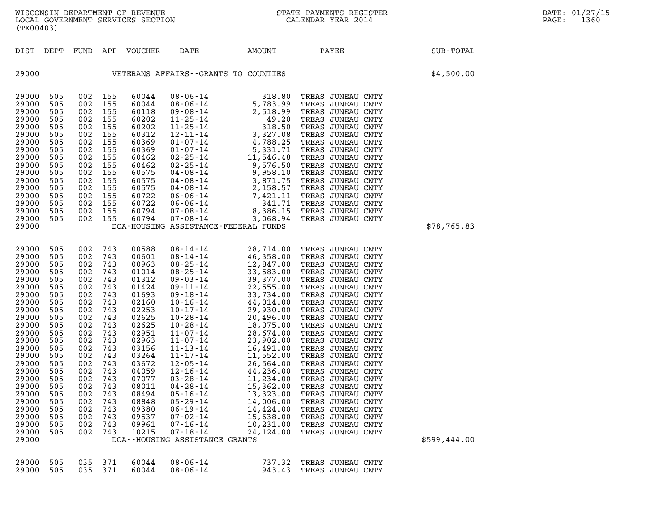| 29000             |                                  | DOA--HOUSING ASSISTANCE GRANTS |                                                      |  |  |
|-------------------|----------------------------------|--------------------------------|------------------------------------------------------|--|--|
| 29000 505 035 371 | 60044<br>29000 505 035 371 60044 | 08 - 06 - 14<br>08 - 06 - 14   | 737.32 TREAS JUNEAU CNTY<br>943.43 TREAS JUNEAU CNTY |  |  |

| 29000 | 505 | 002 | 155 | 60575 | 04-08-14                       | 2,158.57                                                                                                                                                                                 | TREAS JUNEAU CNTY |              |
|-------|-----|-----|-----|-------|--------------------------------|------------------------------------------------------------------------------------------------------------------------------------------------------------------------------------------|-------------------|--------------|
| 29000 | 505 | 002 | 155 | 60722 | 06-06-14                       | 7,421.11                                                                                                                                                                                 | TREAS JUNEAU CNTY |              |
| 29000 | 505 | 002 | 155 | 60722 | 06-06-14                       | 341.71                                                                                                                                                                                   | TREAS JUNEAU CNTY |              |
| 29000 | 505 | 002 | 155 | 60794 | $07 - 08 - 14$                 | 8,386.15                                                                                                                                                                                 | TREAS JUNEAU CNTY |              |
| 29000 | 505 | 002 | 155 | 60794 | 07-08-14                       | 3,068.94                                                                                                                                                                                 | TREAS JUNEAU CNTY |              |
| 29000 |     |     |     |       |                                | DOA-HOUSING ASSISTANCE-FEDERAL FUNDS                                                                                                                                                     |                   | \$78,765.83  |
|       |     |     |     |       |                                |                                                                                                                                                                                          |                   |              |
|       |     |     |     |       |                                |                                                                                                                                                                                          |                   |              |
| 29000 | 505 | 002 | 743 | 00588 | 08-14-14                       | 28,714.00                                                                                                                                                                                | TREAS JUNEAU CNTY |              |
| 29000 | 505 | 002 | 743 | 00601 | 08-14-14                       | 46,358.00                                                                                                                                                                                | TREAS JUNEAU CNTY |              |
| 29000 | 505 | 002 | 743 | 00963 | $08 - 25 - 14$                 | 12,847.00                                                                                                                                                                                | TREAS JUNEAU CNTY |              |
| 29000 | 505 | 002 | 743 | 01014 | 08-25-14                       | 33,583.00                                                                                                                                                                                | TREAS JUNEAU CNTY |              |
| 29000 | 505 | 002 | 743 | 01312 | $09 - 03 - 14$                 | 39,377.00                                                                                                                                                                                | TREAS JUNEAU CNTY |              |
| 29000 | 505 | 002 | 743 | 01424 | 09-11-14                       | 22,555.00                                                                                                                                                                                | TREAS JUNEAU CNTY |              |
| 29000 | 505 | 002 | 743 | 01693 | 09-18-14                       | 33,734.00                                                                                                                                                                                | TREAS JUNEAU CNTY |              |
| 29000 | 505 | 002 | 743 | 02160 | $10 - 16 - 14$                 | 44,014.00                                                                                                                                                                                | TREAS JUNEAU CNTY |              |
| 29000 | 505 | 002 | 743 | 02253 | $10 - 17 - 14$                 | 29,930.00                                                                                                                                                                                | TREAS JUNEAU CNTY |              |
| 29000 | 505 | 002 | 743 | 02625 | $10 - 28 - 14$                 | 20,496.00                                                                                                                                                                                | TREAS JUNEAU CNTY |              |
| 29000 | 505 | 002 | 743 | 02625 | $10 - 28 - 14$                 | 18,075.00                                                                                                                                                                                | TREAS JUNEAU CNTY |              |
| 29000 | 505 | 002 | 743 | 02951 | 11-07-14                       | 28,674.00                                                                                                                                                                                | TREAS JUNEAU CNTY |              |
| 29000 | 505 | 002 | 743 | 02963 |                                | $\begin{array}{cccc} 11\text{-}07\text{-}14 & & 23,902.00\ 11\text{-}13\text{-}14 & & 16,491.00\ 11\text{-}17\text{-}14 & & 15,52.00\ 11\text{-}17\text{-}14 & & 14,552.00\ \end{array}$ | TREAS JUNEAU CNTY |              |
| 29000 | 505 | 002 | 743 | 03156 |                                |                                                                                                                                                                                          | TREAS JUNEAU CNTY |              |
| 29000 | 505 | 002 | 743 | 03264 |                                |                                                                                                                                                                                          | TREAS JUNEAU CNTY |              |
| 29000 | 505 | 002 | 743 | 03672 | $12 - 05 - 14$                 | 26,564.00                                                                                                                                                                                | TREAS JUNEAU CNTY |              |
| 29000 | 505 | 002 | 743 | 04059 | 12-16-14                       | 44,236.00                                                                                                                                                                                | TREAS JUNEAU CNTY |              |
| 29000 | 505 | 002 | 743 | 07077 | 03-28-14                       | 11,234.00                                                                                                                                                                                | TREAS JUNEAU CNTY |              |
| 29000 | 505 | 002 | 743 | 08011 | 04-28-14                       | 15,362.00                                                                                                                                                                                | TREAS JUNEAU CNTY |              |
| 29000 | 505 | 002 | 743 | 08494 | 05-16-14                       | 13,323.00                                                                                                                                                                                | TREAS JUNEAU CNTY |              |
| 29000 | 505 | 002 | 743 | 08848 | 05-29-14                       | 14,006.00                                                                                                                                                                                | TREAS JUNEAU CNTY |              |
| 29000 | 505 | 002 | 743 | 09380 | $06 - 19 - 14$                 | 14,424.00                                                                                                                                                                                | TREAS JUNEAU CNTY |              |
| 29000 | 505 | 002 | 743 | 09537 | $07 - 02 - 14$                 | 15,638.00                                                                                                                                                                                | TREAS JUNEAU CNTY |              |
| 29000 | 505 | 002 | 743 | 09961 | 07-16-14                       | 10,231.00                                                                                                                                                                                | TREAS JUNEAU CNTY |              |
| 29000 | 505 | 002 | 743 | 10215 | 07-18-14                       | 24,124.00                                                                                                                                                                                | TREAS JUNEAU CNTY |              |
| 29000 |     |     |     |       | DOA--HOUSING ASSISTANCE GRANTS |                                                                                                                                                                                          |                   | \$599,444.00 |
|       |     |     |     |       |                                |                                                                                                                                                                                          |                   |              |

| 29000 |     |     |     |       | VETERANS AFFAIRS--GRANTS TO COUNTIES |           |       |                   |      |  |
|-------|-----|-----|-----|-------|--------------------------------------|-----------|-------|-------------------|------|--|
| 29000 | 505 | 002 | 155 | 60044 | $08 - 06 - 14$                       | 318.80    | TREAS | JUNEAU CNTY       |      |  |
| 29000 | 505 | 002 | 155 | 60044 | $08 - 06 - 14$                       | 5,783.99  | TREAS | JUNEAU            | CNTY |  |
| 29000 | 505 | 002 | 155 | 60118 | $09 - 08 - 14$                       | 2,518.99  | TREAS | JUNEAU            | CNTY |  |
| 29000 | 505 | 002 | 155 | 60202 | $11 - 25 - 14$                       | 49.20     | TREAS | JUNEAU            | CNTY |  |
| 29000 | 505 | 002 | 155 | 60202 | $11 - 25 - 14$                       | 318.50    | TREAS | JUNEAU            | CNTY |  |
| 29000 | 505 | 002 | 155 | 60312 | $12 - 11 - 14$                       | 3,327.08  |       | TREAS JUNEAU      | CNTY |  |
| 29000 | 505 | 002 | 155 | 60369 | $01 - 07 - 14$                       | 4,788.25  |       | TREAS JUNEAU      | CNTY |  |
| 29000 | 505 | 002 | 155 | 60369 | $01 - 07 - 14$                       | 5,331.71  |       | TREAS JUNEAU      | CNTY |  |
| 29000 | 505 | 002 | 155 | 60462 | $02 - 25 - 14$                       | 11,546.48 |       | TREAS JUNEAU      | CNTY |  |
| 29000 | 505 | 002 | 155 | 60462 | $02 - 25 - 14$                       | 9,576.50  |       | TREAS JUNEAU      | CNTY |  |
| 29000 | 505 | 002 | 155 | 60575 | 04-08-14                             | 9,958.10  |       | TREAS JUNEAU      | CNTY |  |
| 29000 | 505 | 002 | 155 | 60575 | $04 - 08 - 14$                       | 3,871.75  |       | TREAS JUNEAU      | CNTY |  |
| 29000 | 505 | 002 | 155 | 60575 | 04-08-14                             | 2,158.57  |       | TREAS JUNEAU      | CNTY |  |
| 29000 | 505 | 002 | 155 | 60722 | $06 - 06 - 14$                       | 7,421.11  |       | TREAS JUNEAU      | CNTY |  |
| 29000 | 505 | 002 | 155 | 60722 | $06 - 06 - 14$                       | 341.71    |       | TREAS JUNEAU CNTY |      |  |
| 29000 | 505 | 002 | 155 | 60794 | $07 - 08 - 14$                       | 8.386.15  |       | TREAS JUNEAU CNTY |      |  |

|       |  | DIST DEPT FUND APP VOUCHER | DATE                                 | AMOUNT | PAYEE | SUB-TOTAL  |  |
|-------|--|----------------------------|--------------------------------------|--------|-------|------------|--|
| 29000 |  |                            | VETERANS AFFAIRS--GRANTS TO COUNTIES |        |       | \$4,500.00 |  |

(TX00403)

DIST DEPT FUND APP VOUCHER DATE AMOUNT PAYEE SUB-TOTAL

WISCONSIN DEPARTMENT OF REVENUE<br>LOCAL GOVERNMENT SERVICES SECTION STATE PAYMENTS REGISTER SECONDER STATE PASS: 1360 WISCONSIN DEPARTMENT OF REVENUE<br>LOCAL GOVERNMENT SERVICES SECTION CALENDAR YEAR 2014<br>(TX00403)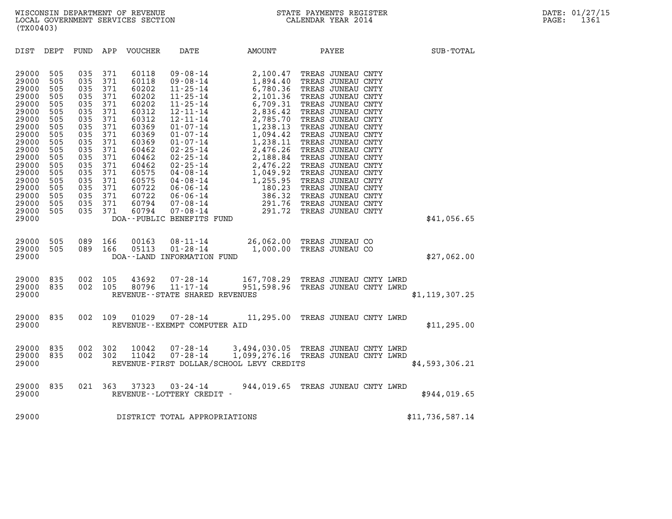| (TX00403)                                                                                                                                                                                                                                                                                                                                                                                                                                                  |                                                                                                                                                                                                                                                                                                              |                                                                |                                                                                                                                                                                                                                                                                                                                                                                                                                                                                                                                                                                                                                                                              |                                                                                                                                                                                                                                                                                                                                                                                                             |                  |  |
|------------------------------------------------------------------------------------------------------------------------------------------------------------------------------------------------------------------------------------------------------------------------------------------------------------------------------------------------------------------------------------------------------------------------------------------------------------|--------------------------------------------------------------------------------------------------------------------------------------------------------------------------------------------------------------------------------------------------------------------------------------------------------------|----------------------------------------------------------------|------------------------------------------------------------------------------------------------------------------------------------------------------------------------------------------------------------------------------------------------------------------------------------------------------------------------------------------------------------------------------------------------------------------------------------------------------------------------------------------------------------------------------------------------------------------------------------------------------------------------------------------------------------------------------|-------------------------------------------------------------------------------------------------------------------------------------------------------------------------------------------------------------------------------------------------------------------------------------------------------------------------------------------------------------------------------------------------------------|------------------|--|
| DIST<br>DEPT<br>FUND                                                                                                                                                                                                                                                                                                                                                                                                                                       | APP<br>VOUCHER                                                                                                                                                                                                                                                                                               | DATE                                                           | AMOUNT                                                                                                                                                                                                                                                                                                                                                                                                                                                                                                                                                                                                                                                                       | PAYEE                                                                                                                                                                                                                                                                                                                                                                                                       | SUB-TOTAL        |  |
| 29000<br>505<br>035<br>29000<br>505<br>035<br>505<br>29000<br>035<br>29000<br>505<br>035<br>29000<br>505<br>035<br>505<br>29000<br>035<br>505<br>29000<br>035<br>29000<br>505<br>035<br>505<br>29000<br>035<br>505<br>035<br>29000<br>505<br>29000<br>035<br>505<br>29000<br>035<br>29000<br>505<br>035<br>29000<br>505<br>035<br>29000<br>505<br>035<br>29000<br>505<br>035<br>505<br>29000<br>035<br>29000<br>505<br>035<br>505<br>035<br>29000<br>29000 | 371<br>60118<br>371<br>60118<br>371<br>60202<br>371<br>60202<br>371<br>60202<br>371<br>60312<br>371<br>60312<br>371<br>60369<br>371<br>60369<br>371<br>60369<br>371<br>60462<br>371<br>60462<br>371<br>60462<br>371<br>60575<br>371<br>60575<br>371<br>60722<br>371<br>60722<br>371<br>60794<br>371<br>60794 | $09 - 08 - 14$<br>$09 - 08 - 14$<br>DOA--PUBLIC BENEFITS FUND  | 2,100.47<br>1,894.40<br>$\begin{array}{cccc} 09 - 08 - 14 \\ 11 - 25 - 14 \\ 11 - 25 - 14 \\ 11 - 25 - 14 \\ 12 - 11 - 14 \\ 12 - 11 - 14 \\ 13 - 11 - 14 \\ 14 & 2,785,70 \\ 2,836,42 \\ 1,238,13 \\ 1,238,13 \\ 1,238,13 \\ 1,238,13 \\ 1,238,13 \\ 1,238,13 \\ 1,238,13 \\ 1,238,13 \\ 1,238,13 \\ 1,238,13 \\ 1,23$<br>$\begin{array}{cccc} 12\cdot 11\cdot 14 & 2\,,785\cdot 70 \\ 01\cdot 07\cdot 14 & 1\,,238\cdot 13 \\ 01\cdot 07\cdot 14 & 1\,,094\cdot 42 \\ 01\cdot 07\cdot 14 & 1\,,238\cdot 11 \\ 02\cdot 25\cdot 14 & 2\,,476\cdot 26 \\ 02\cdot 25\cdot 14 & 2\,,476\cdot 22 \\ 04\cdot 08\cdot 14 & 1\,,049\cdot 92 \\ 06\cdot 06\cdot 14 & 180\cdot 23 \\$ | TREAS JUNEAU CNTY<br>TREAS JUNEAU CNTY<br>TREAS JUNEAU CNTY<br>TREAS JUNEAU CNTY<br>TREAS JUNEAU CNTY<br>TREAS JUNEAU CNTY<br>TREAS JUNEAU CNTY<br>TREAS JUNEAU CNTY<br>TREAS JUNEAU CNTY<br>TREAS JUNEAU CNTY<br>TREAS JUNEAU CNTY<br>TREAS JUNEAU CNTY<br>TREAS JUNEAU CNTY<br>TREAS JUNEAU CNTY<br>TREAS JUNEAU CNTY<br>TREAS JUNEAU CNTY<br>TREAS JUNEAU CNTY<br>TREAS JUNEAU CNTY<br>TREAS JUNEAU CNTY | \$41,056.65      |  |
| 29000<br>505<br>089<br>505<br>089<br>29000<br>29000                                                                                                                                                                                                                                                                                                                                                                                                        | 166<br>00163<br>166<br>05113                                                                                                                                                                                                                                                                                 | $08 - 11 - 14$<br>$01 - 28 - 14$<br>DOA--LAND INFORMATION FUND | 26,062.00                                                                                                                                                                                                                                                                                                                                                                                                                                                                                                                                                                                                                                                                    | TREAS JUNEAU CO<br>1,000.00 TREAS JUNEAU CO                                                                                                                                                                                                                                                                                                                                                                 | \$27,062.00      |  |
| 002<br>29000<br>835<br>835<br>29000<br>002<br>29000                                                                                                                                                                                                                                                                                                                                                                                                        | 105<br>43692<br>80796<br>105                                                                                                                                                                                                                                                                                 | 07-28-14<br>11-17-14<br>REVENUE - - STATE SHARED REVENUES      |                                                                                                                                                                                                                                                                                                                                                                                                                                                                                                                                                                                                                                                                              | 167,708.29 TREAS JUNEAU CNTY LWRD<br>951,598.96 TREAS JUNEAU CNTY LWRD                                                                                                                                                                                                                                                                                                                                      | \$1, 119, 307.25 |  |
| 835<br>002<br>29000<br>29000                                                                                                                                                                                                                                                                                                                                                                                                                               | 109<br>01029                                                                                                                                                                                                                                                                                                 | $07 - 28 - 14$<br>REVENUE--EXEMPT COMPUTER AID                 |                                                                                                                                                                                                                                                                                                                                                                                                                                                                                                                                                                                                                                                                              | 11,295.00 TREAS JUNEAU CNTY LWRD                                                                                                                                                                                                                                                                                                                                                                            | \$11, 295.00     |  |
| 29000<br>835<br>002<br>002<br>29000<br>835<br>29000                                                                                                                                                                                                                                                                                                                                                                                                        | 302<br>10042<br>302<br>11042                                                                                                                                                                                                                                                                                 | $07 - 28 - 14$<br>$07 - 28 - 14$                               | REVENUE-FIRST DOLLAR/SCHOOL LEVY CREDITS                                                                                                                                                                                                                                                                                                                                                                                                                                                                                                                                                                                                                                     | 3,494,030.05 TREAS JUNEAU CNTY LWRD<br>3,494,030.05 IREAD OUTLOCATE<br>1,099,276.16 TREAS JUNEAU CNTY LWRD                                                                                                                                                                                                                                                                                                  | \$4,593,306.21   |  |
| 29000<br>835<br>021<br>29000                                                                                                                                                                                                                                                                                                                                                                                                                               | 363<br>37323                                                                                                                                                                                                                                                                                                 | $03 - 24 - 14$<br>REVENUE--LOTTERY CREDIT -                    | 944,019.65                                                                                                                                                                                                                                                                                                                                                                                                                                                                                                                                                                                                                                                                   | TREAS JUNEAU CNTY LWRD                                                                                                                                                                                                                                                                                                                                                                                      | \$944,019.65     |  |
| 29000                                                                                                                                                                                                                                                                                                                                                                                                                                                      | DISTRICT TOTAL APPROPRIATIONS                                                                                                                                                                                                                                                                                |                                                                |                                                                                                                                                                                                                                                                                                                                                                                                                                                                                                                                                                                                                                                                              |                                                                                                                                                                                                                                                                                                                                                                                                             | \$11,736,587.14  |  |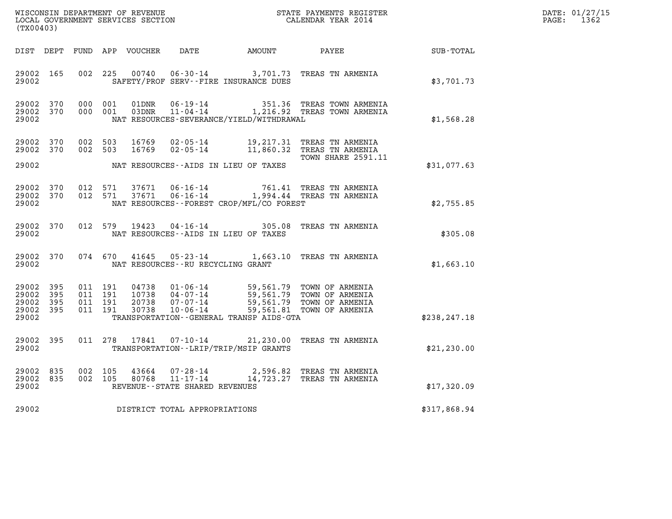| WISCONSIN DEPARTMENT OF REVENUE   | STATE PAYMENTS REGISTER | DATE: 01/27/15 |
|-----------------------------------|-------------------------|----------------|
| LOCAL GOVERNMENT SERVICES SECTION | CALENDAR YEAR 2014      | 1362<br>PAGE:  |

| %WISCONSIN DEPARTMENT OF REVENUE $$\tt STATE~PAYMEMTS~REGISTER~LOCAL~GOVERNMEMST~SERVICES~SECTION~CALENDAR~YEAR~2014$<br>(TX00403) |     |  |                    |       |                                   |                                              |                                                                                                                                                                                                                                           |               | DATE: 01/27/15<br>$\mathtt{PAGE:}$<br>1362 |
|------------------------------------------------------------------------------------------------------------------------------------|-----|--|--------------------|-------|-----------------------------------|----------------------------------------------|-------------------------------------------------------------------------------------------------------------------------------------------------------------------------------------------------------------------------------------------|---------------|--------------------------------------------|
|                                                                                                                                    |     |  |                    |       |                                   | DIST DEPT FUND APP VOUCHER DATE AMOUNT PAYEE |                                                                                                                                                                                                                                           | SUB-TOTAL     |                                            |
| 29002 165<br>29002                                                                                                                 |     |  |                    |       |                                   | SAFETY/PROF SERV--FIRE INSURANCE DUES        | 002 225 00740 06-30-14 3,701.73 TREAS TN ARMENIA                                                                                                                                                                                          | \$3,701.73    |                                            |
| 29002 370<br>29002 370<br>29002                                                                                                    |     |  | 000 001<br>000 001 |       |                                   | NAT RESOURCES-SEVERANCE/YIELD/WITHDRAWAL     | 01DNR  06-19-14   351.36 TREAS TOWN ARMENIA<br>03DNR  11-04-14   1,216.92 TREAS TOWN ARMENIA                                                                                                                                              | \$1,568.28    |                                            |
| 29002 370<br>29002 370<br>29002                                                                                                    |     |  |                    |       |                                   | NAT RESOURCES--AIDS IN LIEU OF TAXES         | 002 503 16769 02-05-14 19,217.31 TREAS TN ARMENIA<br>002 503 16769 02-05-14 11,860.32 TREAS TN ARMENIA<br><b>TOWN SHARE 2591.11</b>                                                                                                       | \$31,077.63   |                                            |
| 29002 370<br>29002 370<br>29002                                                                                                    |     |  | 012 571<br>012 571 |       |                                   | NAT RESOURCES--FOREST CROP/MFL/CO FOREST     | 37671  06-16-14  761.41 TREAS TN ARMENIA<br>37671  06-16-14   1,994.44 TREAS TN ARMENIA                                                                                                                                                   | \$2,755.85    |                                            |
| 29002 370<br>29002                                                                                                                 |     |  |                    |       |                                   | NAT RESOURCES--AIDS IN LIEU OF TAXES         | 012 579 19423 04-16-14 305.08 TREAS TN ARMENIA                                                                                                                                                                                            | \$305.08      |                                            |
| 29002 370<br>29002                                                                                                                 |     |  |                    |       |                                   | NAT RESOURCES--RU RECYCLING GRANT            | 074 670 41645 05-23-14 1,663.10 TREAS TN ARMENIA                                                                                                                                                                                          | \$1,663.10    |                                            |
| 29002 395<br>29002 395<br>29002 395<br>29002 395<br>29002                                                                          |     |  |                    | 30738 | $10 - 06 - 14$                    | TRANSPORTATION - - GENERAL TRANSP AIDS - GTA | 011 191 04738 01-06-14 59,561.79 TOWN OF ARMENIA<br>011 191 10738 04-07-14 59,561.79 TOWN OF ARMENIA<br>011 191 20738 07-07-14 59,561.79 TOWN OF ARMENIA<br>011 191 30738 10-06-14 59,561.81 TOWN OF ARMENIA<br>59,561.81 TOWN OF ARMENIA | \$238, 247.18 |                                            |
| 29002 395<br>29002                                                                                                                 |     |  |                    |       |                                   | TRANSPORTATION - - LRIP/TRIP/MSIP GRANTS     | 011  278  17841  07-10-14  21,230.00 TREAS TN ARMENIA                                                                                                                                                                                     | \$21,230.00   |                                            |
| 29002<br>29002 835<br>29002                                                                                                        | 835 |  |                    |       | REVENUE - - STATE SHARED REVENUES |                                              | $\begin{array}{cccc} 002 & 105 & 43664 & 07\text{-}28\text{-}14 & 2,596.82 & \text{TREAS TN ARMENIA} \\ 002 & 105 & 80768 & 11\text{-}17\text{-}14 & 14,723.27 & \text{TREAS TN ARMENIA} \end{array}$                                     | \$17,320.09   |                                            |
| 29002                                                                                                                              |     |  |                    |       | DISTRICT TOTAL APPROPRIATIONS     |                                              |                                                                                                                                                                                                                                           | \$317,868.94  |                                            |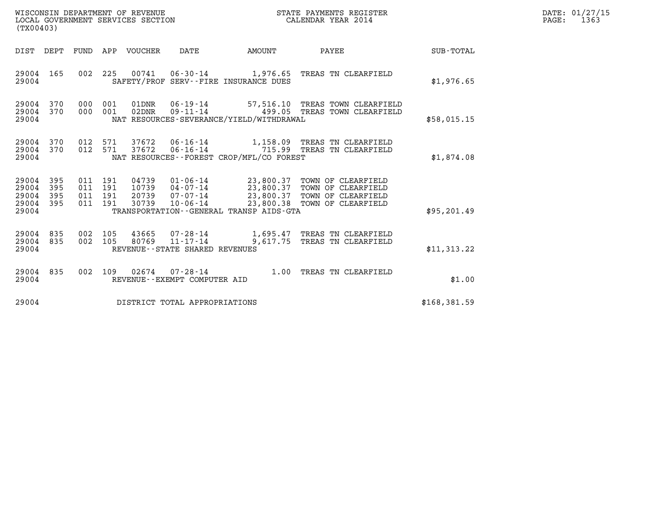| WISCONSIN DEPARTMENT OF REVENUE<br>LOCAL GOVERNMENT SERVICES SECTION<br>(TX00403) |                          |                                          |            |                                  |                                                  |                                              | STATE PAYMENTS REGISTER<br>CALENDAR YEAR 2014                                                                                                                         |              | DATE: 01/27/15<br>$\mathtt{PAGE}$ :<br>1363 |
|-----------------------------------------------------------------------------------|--------------------------|------------------------------------------|------------|----------------------------------|--------------------------------------------------|----------------------------------------------|-----------------------------------------------------------------------------------------------------------------------------------------------------------------------|--------------|---------------------------------------------|
| DIST DEPT                                                                         |                          |                                          |            | FUND APP VOUCHER                 | DATE                                             | AMOUNT                                       | PAYEE                                                                                                                                                                 | SUB-TOTAL    |                                             |
| 29004 165<br>29004                                                                |                          | 002 225                                  |            |                                  |                                                  | SAFETY/PROF SERV--FIRE INSURANCE DUES        | 00741  06-30-14  1,976.65  TREAS TN CLEARFIELD                                                                                                                        | \$1,976.65   |                                             |
| 29004<br>29004<br>29004                                                           | 370<br>370               | 000<br>000                               | 001<br>001 | 01DNR<br>$02$ DNR                |                                                  | NAT RESOURCES-SEVERANCE/YIELD/WITHDRAWAL     | 57,516.10 TREAS TOWN CLEARFIELD<br>499.05 TREAS TOWN CLEARFIELD                                                                                                       | \$58,015.15  |                                             |
| 29004 370<br>29004<br>29004                                                       | 370                      | 012<br>012 571                           | 571        | 37672<br>37672                   | $06 - 16 - 14$                                   | NAT RESOURCES--FOREST CROP/MFL/CO FOREST     | 06-16-14 1,158.09 TREAS TN CLEARFIELD<br>715.99 TREAS TN CLEARFIELD                                                                                                   | \$1,874.08   |                                             |
| 29004<br>29004<br>29004<br>29004<br>29004                                         | 395<br>395<br>395<br>395 | 011 191<br>011 191<br>011 191<br>011 191 |            | 04739<br>10739<br>20739<br>30739 | $04 - 07 - 14$<br>07-07-14<br>10-06-14           | TRANSPORTATION - - GENERAL TRANSP AIDS - GTA | 01-06-14 23,800.37 TOWN OF CLEARFIELD<br>23,800.37 TOWN OF CLEARFIELD<br>23.800.37 TOWN OF CLEARFIELD<br>23,800.37 TOWN OF CLEARFIELD<br>23,800.38 TOWN OF CLEARFIELD | \$95, 201.49 |                                             |
| 29004<br>29004<br>29004                                                           | 835<br>835               | 002 105<br>002                           | 105        | 43665<br>80769                   | REVENUE - - STATE SHARED REVENUES                |                                              | 07-28-14 1,695.47 TREAS TN CLEARFIELD<br>11-17-14 9,617.75 TREAS TN CLEARFIELD                                                                                        | \$11,313.22  |                                             |
| 29004<br>29004                                                                    | 835                      | 002 109                                  |            |                                  | $02674$ 07-28-14<br>REVENUE--EXEMPT COMPUTER AID |                                              | 1.00 TREAS TN CLEARFIELD                                                                                                                                              | \$1.00       |                                             |
| 29004                                                                             |                          |                                          |            |                                  | DISTRICT TOTAL APPROPRIATIONS                    |                                              |                                                                                                                                                                       | \$168,381.59 |                                             |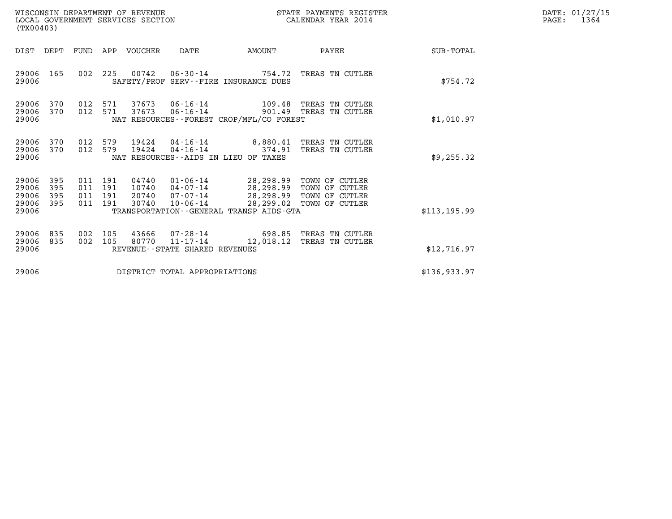| (TX00403)                                 |                          |                          |                          | WISCONSIN DEPARTMENT OF REVENUE<br>LOCAL GOVERNMENT SERVICES SECTION |                                                                 | STATE PAYMENTS REGISTER<br>CALENDAR YEAR 2014                                                    |                                                                      |               | DATE: 01/27/15<br>PAGE:<br>1364 |
|-------------------------------------------|--------------------------|--------------------------|--------------------------|----------------------------------------------------------------------|-----------------------------------------------------------------|--------------------------------------------------------------------------------------------------|----------------------------------------------------------------------|---------------|---------------------------------|
| DIST                                      | DEPT                     |                          |                          | FUND APP VOUCHER                                                     | DATE                                                            | AMOUNT                                                                                           | PAYEE                                                                | SUB-TOTAL     |                                 |
| 29006 165<br>29006                        |                          | 002                      | 225                      |                                                                      | 00742   06-30-14                                                | 754.72<br>SAFETY/PROF SERV--FIRE INSURANCE DUES                                                  | TREAS TN CUTLER                                                      | \$754.72      |                                 |
| 29006<br>29006<br>29006                   | 370<br>370               | 012<br>012 571           | 571                      | 37673<br>37673                                                       | 06-16-14<br>$06 - 16 - 14$                                      | NAT RESOURCES--FOREST CROP/MFL/CO FOREST                                                         | 109.48 TREAS TN CUTLER<br>901.49 TREAS TN CUTLER                     | \$1,010.97    |                                 |
| 29006<br>29006<br>29006                   | 370<br>370               | 012<br>012               | 579<br>579               | 19424<br>19424                                                       | 04-16-14<br>$04 - 16 - 14$                                      | 374.91<br>NAT RESOURCES--AIDS IN LIEU OF TAXES                                                   | $8.880.41$ TREAS TN CUTLER<br>TREAS TN CUTLER                        | \$9,255.32    |                                 |
| 29006<br>29006<br>29006<br>29006<br>29006 | 395<br>395<br>395<br>395 | 011<br>011<br>011<br>011 | 191<br>191<br>191<br>191 | 04740<br>10740<br>20740<br>30740                                     | 01-06-14<br>04-07-14<br>07-07-14<br>$10 - 06 - 14$              | 28,298.99<br>28,298.99<br>28,298.99<br>28,299.02<br>TRANSPORTATION - - GENERAL TRANSP AIDS - GTA | TOWN OF CUTLER<br>TOWN OF CUTLER<br>TOWN OF CUTLER<br>TOWN OF CUTLER | \$113, 195.99 |                                 |
| 29006<br>29006<br>29006                   | 835<br>835               | 002<br>002               | 105<br>105               | 43666<br>80770                                                       | 07-28-14<br>$11 - 17 - 14$<br>REVENUE - - STATE SHARED REVENUES | 698.85<br>12,018.12                                                                              | TREAS TN CUTLER<br>TREAS TN CUTLER                                   | \$12,716.97   |                                 |
| 29006                                     |                          |                          |                          |                                                                      | DISTRICT TOTAL APPROPRIATIONS                                   |                                                                                                  |                                                                      | \$136,933.97  |                                 |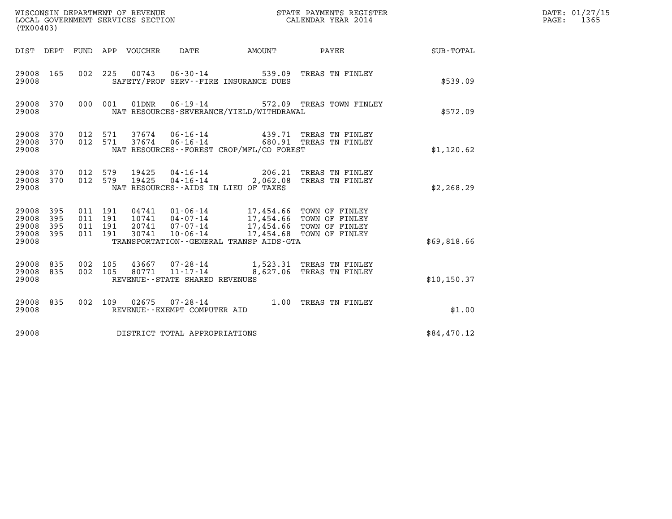| (TX00403)                                 |                          |                                          |     | WISCONSIN DEPARTMENT OF REVENUE<br>LOCAL GOVERNMENT SERVICES SECTION |                                                     |                                                                                                                                     | STATE PAYMENTS REGISTER<br>CALENDAR YEAR 2014                        |              | DATE: 01/27/15<br>$\mathtt{PAGE:}$<br>1365 |
|-------------------------------------------|--------------------------|------------------------------------------|-----|----------------------------------------------------------------------|-----------------------------------------------------|-------------------------------------------------------------------------------------------------------------------------------------|----------------------------------------------------------------------|--------------|--------------------------------------------|
| DIST DEPT                                 |                          |                                          |     | FUND APP VOUCHER                                                     | DATE                                                | <b>EXAMPLE THE AMOUNT</b>                                                                                                           | PAYEE                                                                | SUB-TOTAL    |                                            |
| 29008 165<br>29008                        |                          |                                          |     |                                                                      |                                                     | SAFETY/PROF SERV--FIRE INSURANCE DUES                                                                                               | 002 225 00743 06-30-14 539.09 TREAS TN FINLEY                        | \$539.09     |                                            |
| 29008 370<br>29008                        |                          | 000 001                                  |     | 01DNR                                                                |                                                     | NAT RESOURCES-SEVERANCE/YIELD/WITHDRAWAL                                                                                            | 06-19-14 572.09 TREAS TOWN FINLEY                                    | \$572.09     |                                            |
| 29008 370<br>29008 370<br>29008           |                          | 012 571<br>012                           | 571 |                                                                      | 37674 06-16-14                                      | NAT RESOURCES - - FOREST CROP/MFL/CO FOREST                                                                                         | 439.71 TREAS TN FINLEY<br>37674 06-16-14 680.91 TREAS TN FINLEY      | \$1,120.62   |                                            |
| 29008 370<br>29008 370<br>29008           |                          | 012 579<br>012                           | 579 | 19425<br>19425                                                       |                                                     | NAT RESOURCES -- AIDS IN LIEU OF TAXES                                                                                              | 04-16-14 206.21 TREAS TN FINLEY<br>04-16-14 2,062.08 TREAS TN FINLEY | \$2,268.29   |                                            |
| 29008<br>29008<br>29008<br>29008<br>29008 | 395<br>395<br>395<br>395 | 011 191<br>011 191<br>011 191<br>011 191 |     | 20741<br>30741                                                       | $07 - 07 - 14$<br>10-06-14                          | 04741  01-06-14  17,454.66  TOWN OF FINLEY<br>10741  04-07-14  17,454.66  TOWN OF FINLEY<br>TRANSPORTATION--GENERAL TRANSP AIDS-GTA | 17,454.66 TOWN OF FINLEY<br>17,454.68 TOWN OF FINLEY                 | \$69,818.66  |                                            |
| 29008<br>29008<br>29008                   | 835<br>835               | 002<br>002 105                           | 105 | 43667<br>80771                                                       | $11 - 17 - 14$<br>REVENUE - - STATE SHARED REVENUES |                                                                                                                                     | 07-28-14 1,523.31 TREAS TN FINLEY<br>8,627.06 TREAS TN FINLEY        | \$10, 150.37 |                                            |
| 29008<br>29008                            | 835                      | 002 109                                  |     | 02675                                                                | REVENUE--EXEMPT COMPUTER AID                        |                                                                                                                                     | 07-28-14 1.00 TREAS TN FINLEY                                        | \$1.00       |                                            |
| 29008                                     |                          |                                          |     |                                                                      | DISTRICT TOTAL APPROPRIATIONS                       |                                                                                                                                     |                                                                      | \$84,470.12  |                                            |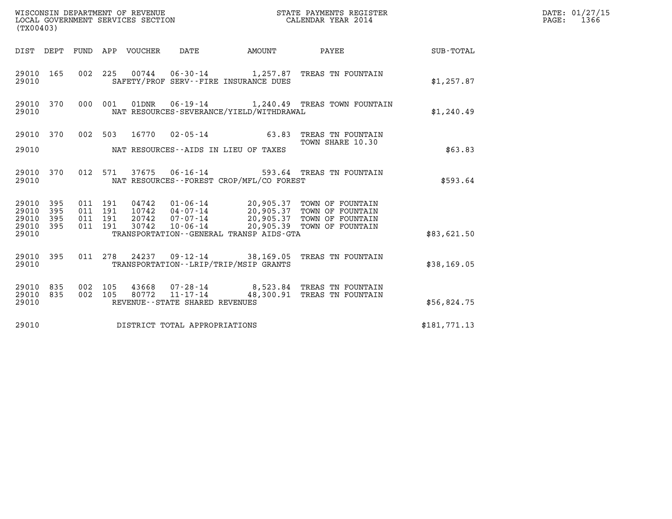| (TX00403)                        |                          |                                          |         | WISCONSIN DEPARTMENT OF REVENUE<br>LOCAL GOVERNMENT SERVICES SECTION |                                   |                                             | STATE PAYMENTS REGISTER<br>CALENDAR YEAR 2014                                                                                                                              |              | DATE: 01/27/15<br>$\mathtt{PAGE:}$<br>1366 |
|----------------------------------|--------------------------|------------------------------------------|---------|----------------------------------------------------------------------|-----------------------------------|---------------------------------------------|----------------------------------------------------------------------------------------------------------------------------------------------------------------------------|--------------|--------------------------------------------|
|                                  |                          |                                          |         | DIST DEPT FUND APP VOUCHER DATE                                      |                                   | AMOUNT                                      | <b>PAYEE</b>                                                                                                                                                               | SUB-TOTAL    |                                            |
| 29010 165<br>29010               |                          |                                          |         |                                                                      |                                   | SAFETY/PROF SERV--FIRE INSURANCE DUES       | 002 225 00744 06-30-14 1,257.87 TREAS TN FOUNTAIN                                                                                                                          | \$1,257.87   |                                            |
| 29010 370<br>29010               |                          |                                          | 000 001 |                                                                      |                                   | NAT RESOURCES-SEVERANCE/YIELD/WITHDRAWAL    | 01DNR  06-19-14   1,240.49 TREAS TOWN FOUNTAIN                                                                                                                             | \$1,240.49   |                                            |
| 29010 370                        |                          |                                          | 002 503 |                                                                      |                                   |                                             | 16770  02-05-14  63.83  TREAS TN FOUNTAIN                                                                                                                                  |              |                                            |
| 29010                            |                          |                                          |         |                                                                      |                                   | NAT RESOURCES--AIDS IN LIEU OF TAXES        | TOWN SHARE 10.30                                                                                                                                                           | \$63.83      |                                            |
| 29010 370<br>29010               |                          |                                          |         |                                                                      |                                   | NAT RESOURCES - - FOREST CROP/MFL/CO FOREST | 012 571 37675 06-16-14 593.64 TREAS TN FOUNTAIN                                                                                                                            | \$593.64     |                                            |
| 29010<br>29010<br>29010<br>29010 | 395<br>395<br>395<br>395 | 011 191<br>011 191<br>011 191<br>011 191 |         | 30742                                                                | $10 - 06 - 14$                    |                                             | 04742  01-06-14  20,905.37  TOWN OF FOUNTAIN<br>10742  04-07-14  20,905.37  TOWN OF FOUNTAIN<br>20742  07-07-14  20,905.37  TOWN OF FOUNTAIN<br>20,905.39 TOWN OF FOUNTAIN |              |                                            |
| 29010                            |                          |                                          |         |                                                                      |                                   | TRANSPORTATION--GENERAL TRANSP AIDS-GTA     |                                                                                                                                                                            | \$83,621.50  |                                            |
| 29010 395<br>29010               |                          |                                          |         |                                                                      |                                   | TRANSPORTATION - - LRIP/TRIP/MSIP GRANTS    | 011 278 24237 09-12-14 38,169.05 TREAS TN FOUNTAIN                                                                                                                         | \$38,169.05  |                                            |
| 29010<br>29010<br>29010          | 835<br>835               | 002 105                                  | 002 105 |                                                                      | REVENUE - - STATE SHARED REVENUES |                                             | 43668  07-28-14  8,523.84  TREAS TN FOUNTAIN<br>80772 11-17-14 48,300.91 TREAS TN FOUNTAIN                                                                                 | \$56,824.75  |                                            |
| 29010                            |                          |                                          |         |                                                                      | DISTRICT TOTAL APPROPRIATIONS     |                                             |                                                                                                                                                                            | \$181,771.13 |                                            |
|                                  |                          |                                          |         |                                                                      |                                   |                                             |                                                                                                                                                                            |              |                                            |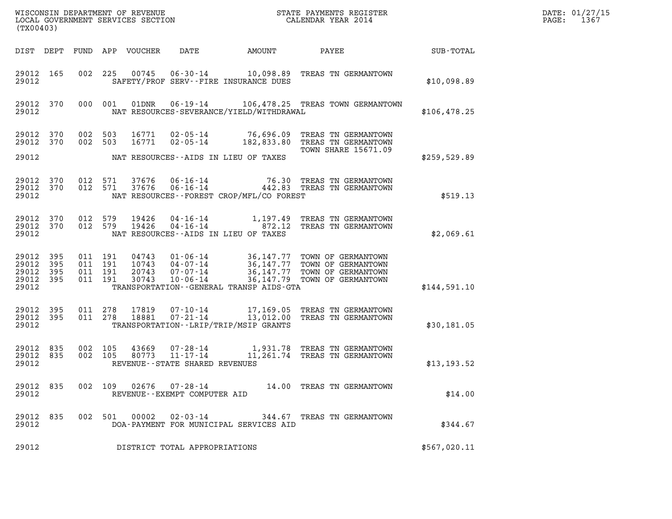| (TX00403)                                             |     |                    |                    |                            |                                   |                                            |                                                                                                                                  |              | DATE: 01/27/15<br>1367<br>$\mathtt{PAGE}$ : |
|-------------------------------------------------------|-----|--------------------|--------------------|----------------------------|-----------------------------------|--------------------------------------------|----------------------------------------------------------------------------------------------------------------------------------|--------------|---------------------------------------------|
|                                                       |     |                    |                    | DIST DEPT FUND APP VOUCHER | DATE                              | AMOUNT                                     | PAYEE                                                                                                                            | SUB-TOTAL    |                                             |
| 29012 165<br>29012                                    |     |                    |                    |                            |                                   | SAFETY/PROF SERV--FIRE INSURANCE DUES      | 002 225 00745 06-30-14 10,098.89 TREAS TN GERMANTOWN                                                                             | \$10,098.89  |                                             |
| 29012 370<br>29012                                    |     |                    | 000 001            | 01DNR                      |                                   | NAT RESOURCES-SEVERANCE/YIELD/WITHDRAWAL   | 06-19-14 106,478.25 TREAS TOWN GERMANTOWN                                                                                        | \$106,478.25 |                                             |
| 29012 370<br>29012 370                                |     | 002 503<br>002 503 |                    |                            |                                   |                                            | 16771  02-05-14  76,696.09  TREAS TN GERMANTOWN<br>16771  02-05-14  182,833.80 TREAS TN GERMANTOWN<br><b>TOWN SHARE 15671.09</b> |              |                                             |
| 29012                                                 |     |                    |                    |                            |                                   | NAT RESOURCES--AIDS IN LIEU OF TAXES       |                                                                                                                                  | \$259,529.89 |                                             |
| 29012 370<br>29012 370<br>29012                       |     |                    | 012 571<br>012 571 | 37676<br>37676             | 06-16-14<br>$06 - 16 - 14$        | NAT RESOURCES--FOREST CROP/MFL/CO FOREST   | 76.30 TREAS TN GERMANTOWN<br>442.83 TREAS TN GERMANTOWN                                                                          | \$519.13     |                                             |
| 29012 370<br>29012 370<br>29012                       |     | 012 579<br>012 579 |                    | 19426<br>19426             |                                   | NAT RESOURCES -- AIDS IN LIEU OF TAXES     | 04-16-14 1,197.49 TREAS TN GERMANTOWN<br>04-16-14 872.12 TREAS TN GERMANTOWN                                                     | \$2,069.61   |                                             |
| 29012 395<br>29012<br>29012 395<br>29012 395<br>29012 | 395 | 011 191<br>011 191 | 011 191<br>011 191 | 20743<br>30743             | 07-07-14<br>$10 - 06 - 14$        | TRANSPORTATION - - GENERAL TRANSP AIDS-GTA | 04743  01-06-14  36,147.77  TOWN OF GERMANTOWN<br>36,147.77 TOWN OF GERMANTOWN<br>36,147.79 TOWN OF GERMANTOWN                   | \$144,591.10 |                                             |
| 29012 395<br>29012 395<br>29012                       |     | 011 278            | 011 278            | 17819<br>18881             | 07-21-14                          | TRANSPORTATION - - LRIP/TRIP/MSIP GRANTS   | 07-10-14 17,169.05 TREAS TN GERMANTOWN<br>13,012.00 TREAS TN GERMANTOWN                                                          | \$30,181.05  |                                             |
| 29012 835<br>29012 835<br>29012                       |     | 002 105<br>002 105 |                    | 43669<br>80773             | REVENUE - - STATE SHARED REVENUES |                                            | 07-28-14 1,931.78 TREAS TN GERMANTOWN<br>11-17-14 11,261.74 TREAS TN GERMANTOWN                                                  | \$13,193.52  |                                             |
| 29012 835<br>29012                                    |     | 002 109            |                    | 02676                      | REVENUE--EXEMPT COMPUTER AID      |                                            |                                                                                                                                  | \$14.00      |                                             |
| 29012 835<br>29012                                    |     |                    | 002 501            | 00002                      | 02-03-14                          | DOA-PAYMENT FOR MUNICIPAL SERVICES AID     | 344.67 TREAS TN GERMANTOWN                                                                                                       | \$344.67     |                                             |
| 29012                                                 |     |                    |                    |                            | DISTRICT TOTAL APPROPRIATIONS     |                                            |                                                                                                                                  | \$567,020.11 |                                             |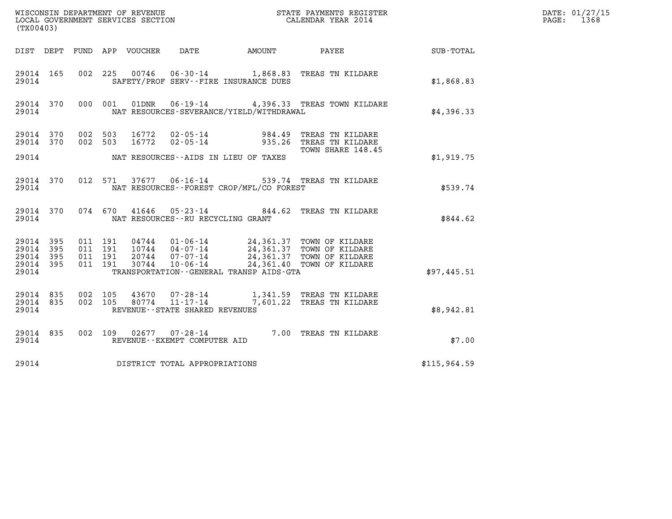| (TX00403)                       |           |                    |         |                                 |                                                                       |                                              | WISCONSIN DEPARTMENT OF REVENUE<br>LOCAL GOVERNMENT SERVICES SECTION<br>CALENDAR YEAR 2014                                                                                               | and the contract of the contract of | DATE: 01/27/15<br>PAGE:<br>1368 |
|---------------------------------|-----------|--------------------|---------|---------------------------------|-----------------------------------------------------------------------|----------------------------------------------|------------------------------------------------------------------------------------------------------------------------------------------------------------------------------------------|-------------------------------------|---------------------------------|
|                                 |           |                    |         | DIST DEPT FUND APP VOUCHER DATE |                                                                       | AMOUNT                                       | PAYEE                                                                                                                                                                                    | SUB-TOTAL                           |                                 |
| 29014 165<br>29014              |           |                    |         |                                 |                                                                       | SAFETY/PROF SERV--FIRE INSURANCE DUES        | 002 225 00746 06-30-14 1,868.83 TREAS TN KILDARE                                                                                                                                         | \$1,868.83                          |                                 |
| 29014                           | 29014 370 |                    | 000 001 |                                 |                                                                       | NAT RESOURCES-SEVERANCE/YIELD/WITHDRAWAL     | 01DNR  06-19-14  4,396.33  TREAS TOWN KILDARE                                                                                                                                            | \$4,396.33                          |                                 |
| 29014 370<br>29014 370          |           | 002 503<br>002 503 |         | 16772<br>16772                  | $02$ - 05 - 14<br>$02 - 05 - 14$                                      | 984.49                                       | TREAS TN KILDARE<br>935.26 TREAS TN KILDARE<br>TOWN SHARE 148.45                                                                                                                         |                                     |                                 |
| 29014                           |           |                    |         |                                 |                                                                       | NAT RESOURCES--AIDS IN LIEU OF TAXES         |                                                                                                                                                                                          | \$1,919.75                          |                                 |
| 29014 370<br>29014              |           |                    | 012 571 |                                 | 37677 06-16-14                                                        | NAT RESOURCES - - FOREST CROP/MFL/CO FOREST  | 539.74 TREAS TN KILDARE                                                                                                                                                                  | \$539.74                            |                                 |
| 29014 370<br>29014              |           |                    |         | 074 670 41646                   | NAT RESOURCES - - RU RECYCLING GRANT                                  |                                              | 05-23-14 844.62 TREAS TN KILDARE                                                                                                                                                         | \$844.62                            |                                 |
| 29014 395<br>29014 395          |           | 011 191            | 011 191 |                                 |                                                                       |                                              |                                                                                                                                                                                          |                                     |                                 |
| 29014<br>29014 395<br>29014     | 395       | 011 191<br>011 191 |         |                                 |                                                                       | TRANSPORTATION - - GENERAL TRANSP AIDS - GTA | 04744  01-06-14  24,361.37  TOWN OF KILDARE<br>10744  04-07-14  24,361.37  TOWN OF KILDARE<br>20744  07-07-14  24,361.37  TOWN OF KILDARE<br>30744  10-06-14  24,361.40  TOWN OF KILDARE | \$97,445.51                         |                                 |
| 29014 835<br>29014 835<br>29014 |           | 002 105<br>002 105 |         | 43670<br>80774                  | $07 - 28 - 14$<br>$11 - 17 - 14$<br>REVENUE - - STATE SHARED REVENUES |                                              | 1,341.59 TREAS TN KILDARE<br>7,601.22 TREAS TN KILDARE                                                                                                                                   | \$8,942.81                          |                                 |
| 29014 835<br>29014              |           |                    |         |                                 | 002 109 02677 07-28-14<br>REVENUE--EXEMPT COMPUTER AID                |                                              | 7.00 TREAS TN KILDARE                                                                                                                                                                    | \$7.00                              |                                 |
| 29014                           |           |                    |         |                                 | DISTRICT TOTAL APPROPRIATIONS                                         |                                              |                                                                                                                                                                                          | \$115,964.59                        |                                 |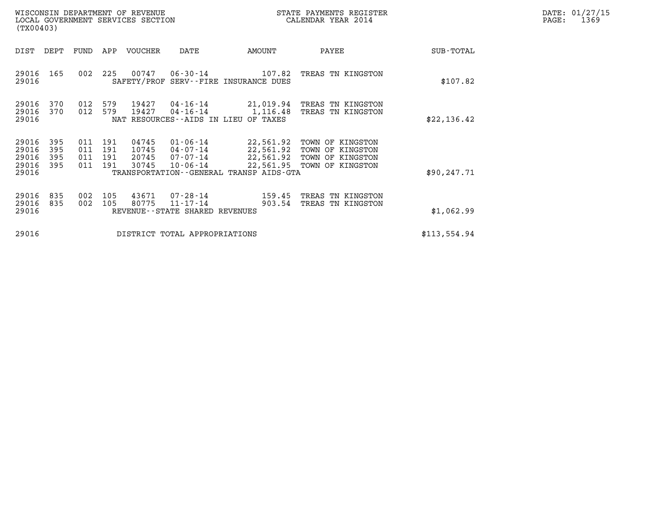| DATE: | 01/27/15 |
|-------|----------|
| PAGE: | 1369     |

|                                           | WISCONSIN DEPARTMENT OF REVENUE<br>LOCAL GOVERNMENT SERVICES SECTION<br>(TX00403)                                                                                                             |                          |                          |                                  |                                                                    |                                                                                             | STATE PAYMENTS REGISTER<br>CALENDAR YEAR 2014                                |              | DATE: 01/27/15<br>PAGE:<br>1369 |
|-------------------------------------------|-----------------------------------------------------------------------------------------------------------------------------------------------------------------------------------------------|--------------------------|--------------------------|----------------------------------|--------------------------------------------------------------------|---------------------------------------------------------------------------------------------|------------------------------------------------------------------------------|--------------|---------------------------------|
| DIST                                      | DEPT                                                                                                                                                                                          | FUND                     | APP                      | VOUCHER                          | DATE                                                               | AMOUNT                                                                                      | PAYEE                                                                        | SUB-TOTAL    |                                 |
| 29016<br>29016                            | 165                                                                                                                                                                                           | 002                      | 225                      | 00747                            | $06 - 30 - 14$                                                     | 107.82<br>SAFETY/PROF SERV--FIRE INSURANCE DUES                                             | TREAS TN KINGSTON                                                            | \$107.82     |                                 |
| 29016<br>29016<br>29016                   | 012<br>579<br>370<br>19427<br>04-16-14<br>21,019.94<br>TREAS TN KINGSTON<br>012<br>579<br>19427<br>370<br>04-16-14<br>1,116.48<br>TREAS TN KINGSTON<br>NAT RESOURCES -- AIDS IN LIEU OF TAXES |                          |                          |                                  |                                                                    |                                                                                             |                                                                              | \$22,136.42  |                                 |
| 29016<br>29016<br>29016<br>29016<br>29016 | 395<br>395<br>395<br>395                                                                                                                                                                      | 011<br>011<br>011<br>011 | 191<br>191<br>191<br>191 | 04745<br>10745<br>20745<br>30745 | $01 - 06 - 14$<br>04-07-14<br>07-07-14<br>$10 - 06 - 14$           | 22,561.92<br>22,561.92<br>22,561.92<br>22,561.95<br>TRANSPORTATION--GENERAL TRANSP AIDS-GTA | TOWN OF KINGSTON<br>TOWN OF KINGSTON<br>TOWN OF KINGSTON<br>TOWN OF KINGSTON | \$90, 247.71 |                                 |
| 29016<br>29016<br>29016                   | 835<br>835                                                                                                                                                                                    | 002<br>002               | 105<br>105               | 43671<br>80775                   | $07 - 28 - 14$<br>$11 - 17 - 14$<br>REVENUE--STATE SHARED REVENUES | 159.45<br>903.54                                                                            | TREAS TN KINGSTON<br>TREAS TN KINGSTON                                       | \$1,062.99   |                                 |
| 29016                                     |                                                                                                                                                                                               |                          |                          |                                  | DISTRICT TOTAL APPROPRIATIONS                                      |                                                                                             |                                                                              | \$113,554.94 |                                 |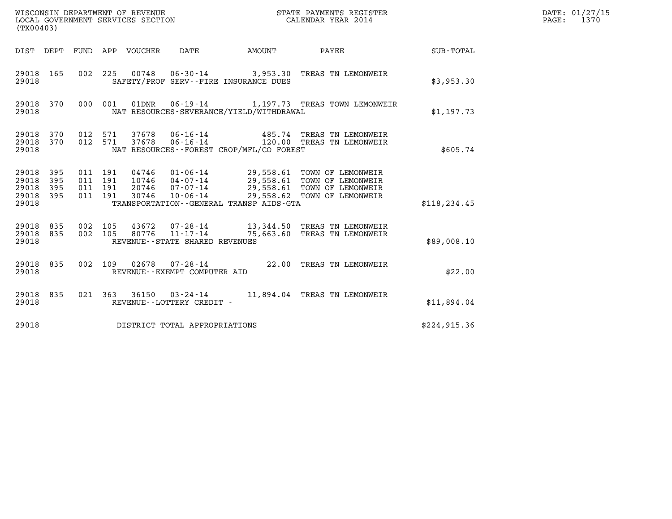| (TX00403)                                 |                          |                                          |         | WISCONSIN DEPARTMENT OF REVENUE<br>LOCAL GOVERNMENT SERVICES SECTION |                                                     |                                             | STATE PAYMENTS REGISTER<br>CALENDAR YEAR 2014                                                                                              |               | DATE: 01/27/15<br>PAGE: 1370 |
|-------------------------------------------|--------------------------|------------------------------------------|---------|----------------------------------------------------------------------|-----------------------------------------------------|---------------------------------------------|--------------------------------------------------------------------------------------------------------------------------------------------|---------------|------------------------------|
|                                           |                          |                                          |         | DIST DEPT FUND APP VOUCHER DATE                                      |                                                     | AMOUNT                                      | PAYEE                                                                                                                                      | SUB-TOTAL     |                              |
| 29018 165<br>29018                        |                          |                                          |         |                                                                      |                                                     | SAFETY/PROF SERV--FIRE INSURANCE DUES       | 002 225 00748 06-30-14 3,953.30 TREAS TN LEMONWEIR                                                                                         | \$3,953,30    |                              |
| 29018 370<br>29018                        |                          |                                          |         | 000 001 01DNR                                                        |                                                     | NAT RESOURCES-SEVERANCE/YIELD/WITHDRAWAL    | 06-19-14 1,197.73 TREAS TOWN LEMONWEIR                                                                                                     | \$1,197.73    |                              |
| 29018 370<br>29018<br>29018               | 370                      | 012 571<br>012 571                       |         | 37678<br>37678                                                       | $06 - 16 - 14$                                      | NAT RESOURCES - - FOREST CROP/MFL/CO FOREST | 06-16-14   485.74 TREAS TN LEMONWEIR<br>120.00 TREAS TN LEMONWEIR                                                                          | \$605.74      |                              |
| 29018<br>29018<br>29018<br>29018<br>29018 | 395<br>395<br>395<br>395 | 011 191<br>011 191<br>011 191<br>011 191 |         | 10746<br>20746<br>30746                                              | 04-07-14<br>$07 - 07 - 14$<br>$10 - 06 - 14$        | TRANSPORTATION--GENERAL TRANSP AIDS-GTA     | 04746  01-06-14  29,558.61  TOWN OF LEMONWEIR<br>29,558.61 TOWN OF LEMONWEIR<br>29,558.61 TOWN OF LEMONWEIR<br>29,558.62 TOWN OF LEMONWEIR | \$118, 234.45 |                              |
| 29018<br>29018<br>29018                   | 835<br>835               | 002 105<br>002 105                       |         | 43672<br>80776                                                       | $11 - 17 - 14$<br>REVENUE - - STATE SHARED REVENUES |                                             | 07-28-14 13,344.50 TREAS TN LEMONWEIR<br>75,663.60 TREAS TN LEMONWEIR                                                                      | \$89,008.10   |                              |
| 29018 835<br>29018                        |                          |                                          | 002 109 |                                                                      | REVENUE--EXEMPT COMPUTER AID                        |                                             | 02678  07-28-14  22.00 TREAS TN LEMONWEIR                                                                                                  | \$22.00       |                              |
| 29018 835<br>29018                        |                          |                                          |         |                                                                      | REVENUE--LOTTERY CREDIT -                           |                                             | 021  363  36150  03-24-14  11,894.04  TREAS TN LEMONWEIR                                                                                   | \$11,894.04   |                              |
| 29018                                     |                          |                                          |         |                                                                      | DISTRICT TOTAL APPROPRIATIONS                       |                                             |                                                                                                                                            | \$224, 915.36 |                              |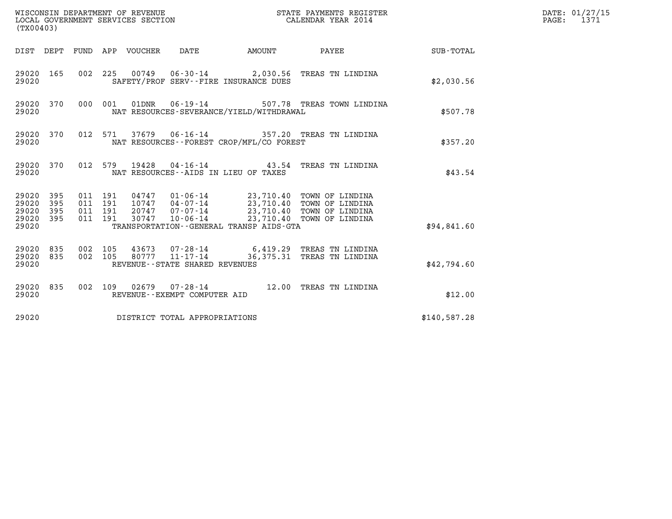| (TX00403)                                                                                                      | WISCONSIN DEPARTMENT OF REVENUE<br>LOCAL GOVERNMENT SERVICES SECTION                                                                                                               |               | STATE PAYMENTS REGISTER<br>CALENDAR YEAR 2014           |              | DATE: 01/27/15<br>PAGE:<br>1371 |
|----------------------------------------------------------------------------------------------------------------|------------------------------------------------------------------------------------------------------------------------------------------------------------------------------------|---------------|---------------------------------------------------------|--------------|---------------------------------|
| DIST DEPT FUND APP VOUCHER                                                                                     | DATE                                                                                                                                                                               | <b>AMOUNT</b> | PAYEE                                                   | SUB-TOTAL    |                                 |
| 29020 165<br>29020                                                                                             | 002 225 00749 06-30-14 2,030.56 TREAS TN LINDINA<br>SAFETY/PROF SERV--FIRE INSURANCE DUES                                                                                          |               |                                                         | \$2,030.56   |                                 |
| 29020 370<br>000 001<br>29020                                                                                  | 01DNR<br>$06 - 19 - 14$<br>NAT RESOURCES-SEVERANCE/YIELD/WITHDRAWAL                                                                                                                |               | 507.78 TREAS TOWN LINDINA                               | \$507.78     |                                 |
| 29020 370<br>012 571<br>29020                                                                                  | 37679  06-16-14  357.20 TREAS TN LINDINA<br>NAT RESOURCES--FOREST CROP/MFL/CO FOREST                                                                                               |               |                                                         | \$357.20     |                                 |
| 29020 370<br>29020                                                                                             | 012 579 19428 04-16-14 43.54 TREAS TN LINDINA<br>NAT RESOURCES -- AIDS IN LIEU OF TAXES                                                                                            |               |                                                         | \$43.54      |                                 |
| 29020 395<br>011 191<br>011 191<br>29020<br>395<br>011 191<br>29020<br>395<br>29020<br>395<br>011 191<br>29020 | 04747  01-06-14  23,710.40  TOWN OF LINDINA<br>10747  04-07-14  23,710.40  TOWN OF LINDINA<br>20747 07-07-14<br>$10 - 06 - 14$<br>30747<br>TRANSPORTATION--GENERAL TRANSP AIDS-GTA |               | 23,710.40 TOWN OF LINDINA<br>23,710.40 TOWN OF LINDINA  | \$94,841.60  |                                 |
| 29020<br>835<br>002 105<br>835<br>002 105<br>29020<br>29020                                                    | 43673<br>07-28-14<br>80777<br>$11 - 17 - 14$<br>REVENUE--STATE SHARED REVENUES                                                                                                     |               | 6,419.29 TREAS TN LINDINA<br>36,375.31 TREAS TN LINDINA | \$42,794.60  |                                 |
| 29020 835<br>29020                                                                                             | 002 109 02679 07-28-14 12.00 TREAS TN LINDINA<br>REVENUE--EXEMPT COMPUTER AID                                                                                                      |               |                                                         | \$12.00      |                                 |
| 29020                                                                                                          | DISTRICT TOTAL APPROPRIATIONS                                                                                                                                                      |               |                                                         | \$140,587.28 |                                 |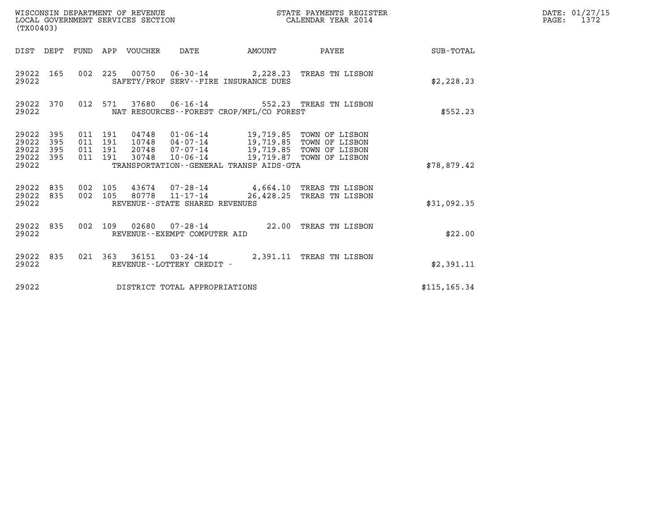| (TX00403)                                         |            |                                          | WISCONSIN DEPARTMENT OF REVENUE<br>LOCAL GOVERNMENT SERVICES SECTION |                                   |                                                                                       | STATE PAYMENTS REGISTER<br>CALENDAR YEAR 2014                                                                        |                        | DATE: 01/27/15<br>1372<br>$\mathtt{PAGE:}$ |
|---------------------------------------------------|------------|------------------------------------------|----------------------------------------------------------------------|-----------------------------------|---------------------------------------------------------------------------------------|----------------------------------------------------------------------------------------------------------------------|------------------------|--------------------------------------------|
|                                                   |            |                                          | DIST DEPT FUND APP VOUCHER DATE                                      |                                   |                                                                                       |                                                                                                                      | AMOUNT PAYEE SUB-TOTAL |                                            |
| 29022 165<br>29022                                |            |                                          |                                                                      |                                   | SAFETY/PROF SERV--FIRE INSURANCE DUES                                                 | 002 225 00750 06-30-14 2,228.23 TREAS TN LISBON                                                                      | \$2,228.23             |                                            |
| 29022 370<br>29022                                |            |                                          |                                                                      |                                   | NAT RESOURCES - - FOREST CROP/MFL/CO FOREST                                           | 012 571 37680 06-16-14 552.23 TREAS TN LISBON                                                                        | \$552.23               |                                            |
| 29022 395<br>29022<br>29022<br>29022 395<br>29022 | 395<br>395 | 011 191<br>011 191<br>011 191<br>011 191 | 30748                                                                | $10 - 06 - 14$                    | 04748  01-06-14  19,719.85  TOWN OF LISBON<br>TRANSPORTATION--GENERAL TRANSP AIDS-GTA | 10748  04-07-14  19,719.85  TOWN OF LISBON<br>20748  07-07-14  19,719.85  TOWN OF LISBON<br>19,719.87 TOWN OF LISBON | \$78,879.42            |                                            |
| 29022 835<br>29022 835<br>29022                   |            | 002 105<br>002 105                       |                                                                      | REVENUE - - STATE SHARED REVENUES |                                                                                       | 43674  07-28-14  4,664.10 TREAS TN LISBON<br>80778  11-17-14  26,428.25  TREAS TN LISBON                             | \$31,092.35            |                                            |
| 29022 835<br>29022                                |            |                                          |                                                                      | REVENUE--EXEMPT COMPUTER AID      |                                                                                       | 002 109 02680 07-28-14 22.00 TREAS TN LISBON                                                                         | \$22.00                |                                            |
| 29022                                             | 29022 835  |                                          |                                                                      | REVENUE--LOTTERY CREDIT -         |                                                                                       | 021 363 36151 03-24-14 2,391.11 TREAS TN LISBON                                                                      | \$2,391.11             |                                            |
| 29022                                             |            |                                          |                                                                      | DISTRICT TOTAL APPROPRIATIONS     |                                                                                       |                                                                                                                      | \$115, 165.34          |                                            |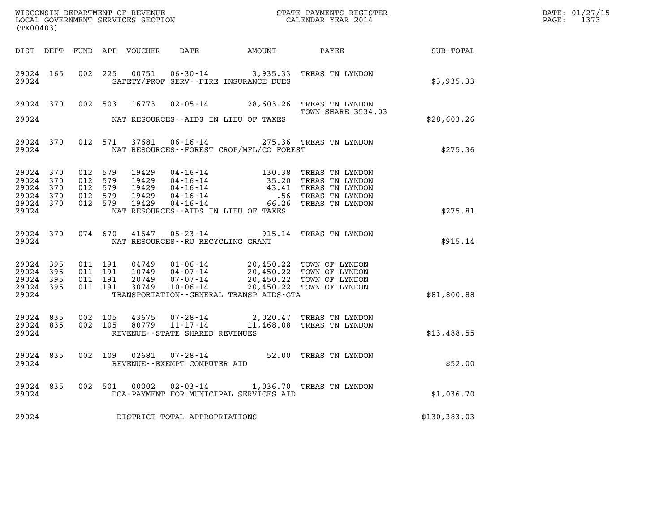| DATE: | 01/27/15 |
|-------|----------|
| PAGE: | 1373     |

| (TX00403)                                                 |           |                                                     |         |                |                                   |                                                                                                                                                                                        |                                                                                                                                                                                                              | DATE: 01/27/15<br>$\mathtt{PAGE:}$<br>1373         |  |
|-----------------------------------------------------------|-----------|-----------------------------------------------------|---------|----------------|-----------------------------------|----------------------------------------------------------------------------------------------------------------------------------------------------------------------------------------|--------------------------------------------------------------------------------------------------------------------------------------------------------------------------------------------------------------|----------------------------------------------------|--|
|                                                           |           |                                                     |         |                |                                   |                                                                                                                                                                                        |                                                                                                                                                                                                              | DIST DEPT FUND APP VOUCHER DATE AMOUNT PAYEE TOTAL |  |
| 29024 165<br>29024                                        |           | 002 225                                             |         | 00751          |                                   | SAFETY/PROF SERV--FIRE INSURANCE DUES                                                                                                                                                  | 06-30-14 3,935.33 TREAS TN LYNDON                                                                                                                                                                            | \$3,935.33                                         |  |
|                                                           |           |                                                     |         |                |                                   |                                                                                                                                                                                        | 29024 370 002 503 16773 02-05-14 28,603.26 TREAS TN LYNDON<br><b>TOWN SHARE 3534.03</b>                                                                                                                      |                                                    |  |
| 29024                                                     |           |                                                     |         |                |                                   | NAT RESOURCES--AIDS IN LIEU OF TAXES                                                                                                                                                   |                                                                                                                                                                                                              | \$28,603.26                                        |  |
| 29024                                                     | 29024 370 |                                                     | 012 571 | 37681          |                                   | NAT RESOURCES - - FOREST CROP/MFL/CO FOREST                                                                                                                                            | 06-16-14 275.36 TREAS TN LYNDON                                                                                                                                                                              | \$275.36                                           |  |
| 29024 370<br>29024 370<br>29024<br>29024 370<br>29024 370 | 370       | 012 579<br>012 579<br>012 579<br>012 579<br>012 579 |         |                |                                   |                                                                                                                                                                                        | 19429  04-16-14  130.38 TREAS TN LYNDON<br>19429  04-16-14  35.20 TREAS TN LYNDON<br>19429  04-16-14  43.41 TREAS TN LYNDON<br>19429  04-16-14  56 TREAS TN LYNDON<br>19429  04-16-14  56.26 TREAS TN LYNDON |                                                    |  |
| 29024                                                     |           |                                                     |         |                |                                   | NAT RESOURCES -- AIDS IN LIEU OF TAXES                                                                                                                                                 |                                                                                                                                                                                                              | \$275.81                                           |  |
| 29024                                                     | 29024 370 |                                                     |         | 074 670 41647  | NAT RESOURCES--RU RECYCLING GRANT |                                                                                                                                                                                        | 05-23-14 915.14 TREAS TN LYNDON                                                                                                                                                                              | \$915.14                                           |  |
| 29024 395<br>29024<br>29024 395<br>29024 395<br>29024     | 395       | 011 191<br>011 191<br>011 191<br>011 191            |         | 30749          | 10-06-14                          | 04749  01-06-14  20,450.22  TOWN OF LYNDON<br>10749  04-07-14  20,450.22  TOWN OF LYNDON<br>20749  07-07-14  20,450.22  TOWN OF LYNDON<br>TRANSPORTATION - - GENERAL TRANSP AIDS - GTA | 20,450.22 TOWN OF LYNDON                                                                                                                                                                                     | \$81,800.88                                        |  |
| 29024 835<br>29024 835<br>29024                           |           | 002 105                                             | 002 105 | 43675<br>80779 | REVENUE--STATE SHARED REVENUES    |                                                                                                                                                                                        | $0.7 - 28 - 14$<br>11-17-14<br>11.468.08 mpmag = LYNDON                                                                                                                                                      | \$13,488.55                                        |  |
| 29024 835<br>29024                                        |           |                                                     | 002 109 | 02681          | REVENUE--EXEMPT COMPUTER AID      |                                                                                                                                                                                        | 07-28-14 52.00 TREAS TN LYNDON                                                                                                                                                                               | \$52.00                                            |  |
| 29024 835<br>29024                                        |           |                                                     |         | 002 501 00002  |                                   | DOA-PAYMENT FOR MUNICIPAL SERVICES AID                                                                                                                                                 | 02-03-14 1,036.70 TREAS TN LYNDON                                                                                                                                                                            | \$1,036.70                                         |  |
| 29024                                                     |           |                                                     |         |                | DISTRICT TOTAL APPROPRIATIONS     |                                                                                                                                                                                        |                                                                                                                                                                                                              | \$130,383.03                                       |  |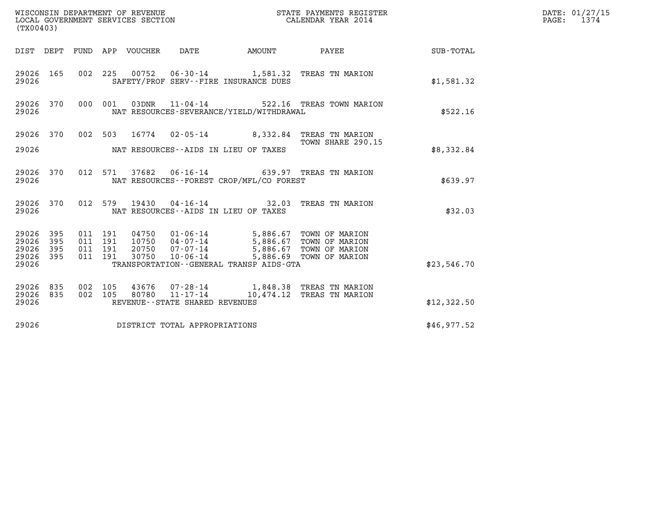| (TX00403)                                     |                   |                               |         |                                |                                             |                                                                                                     |             | DATE: 01/27/15<br>PAGE: 1374 |
|-----------------------------------------------|-------------------|-------------------------------|---------|--------------------------------|---------------------------------------------|-----------------------------------------------------------------------------------------------------|-------------|------------------------------|
|                                               |                   |                               |         |                                |                                             | DIST DEPT FUND APP VOUCHER DATE AMOUNT PAYEE TO SUB-TOTAL                                           |             |                              |
| 29026 165<br>29026                            |                   |                               |         |                                | SAFETY/PROF SERV--FIRE INSURANCE DUES       | 002 225 00752 06-30-14 1,581.32 TREAS TN MARION                                                     | \$1,581.32  |                              |
| 29026                                         |                   |                               |         |                                | NAT RESOURCES-SEVERANCE/YIELD/WITHDRAWAL    | 29026 370 000 001 03DNR 11-04-14 522.16 TREAS TOWN MARION                                           | \$522.16    |                              |
| 29026 370                                     |                   |                               |         |                                |                                             | 002 503 16774 02-05-14 8,332.84 TREAS TN MARION                                                     |             |                              |
| 29026                                         |                   |                               |         |                                | NAT RESOURCES--AIDS IN LIEU OF TAXES        | TOWN SHARE 290.15                                                                                   | \$8,332.84  |                              |
| 29026 370<br>29026                            |                   |                               |         |                                | NAT RESOURCES - - FOREST CROP/MFL/CO FOREST | 012 571 37682 06-16-14 639.97 TREAS TN MARION                                                       | \$639.97    |                              |
| 29026 370<br>29026                            |                   |                               |         |                                | NAT RESOURCES--AIDS IN LIEU OF TAXES        | 012 579 19430 04-16-14 32.03 TREAS TN MARION                                                        | \$32.03     |                              |
| 29026<br>29026<br>29026<br>29026 395<br>29026 | 395<br>395<br>395 | 011 191<br>011 191<br>011 191 | 011 191 | 30750 10-06-14                 | TRANSPORTATION--GENERAL TRANSP AIDS-GTA     | 5,886.69 TOWN OF MARION                                                                             | \$23,546.70 |                              |
| 29026 835<br>29026 835<br>29026               |                   |                               |         | REVENUE--STATE SHARED REVENUES |                                             | 002 105 43676 07-28-14 1,848.38 TREAS TN MARION<br>002 105 80780 11-17-14 10,474.12 TREAS TN MARION | \$12,322.50 |                              |
| 29026                                         |                   |                               |         | DISTRICT TOTAL APPROPRIATIONS  |                                             |                                                                                                     | \$46,977.52 |                              |
|                                               |                   |                               |         |                                |                                             |                                                                                                     |             |                              |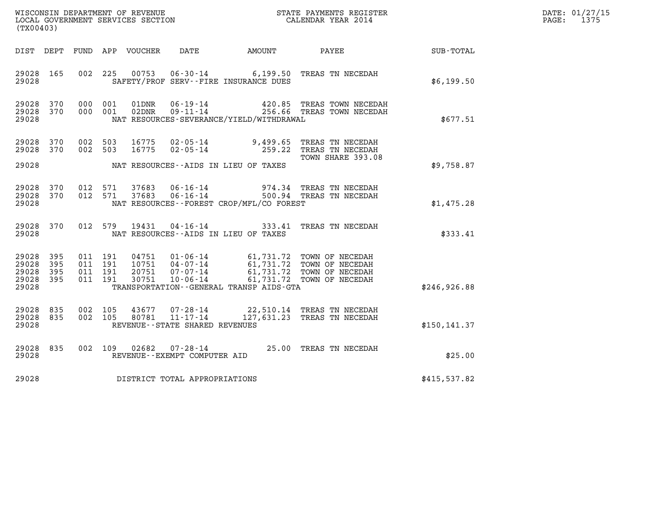| DATE: | 01/27/15 |
|-------|----------|
| PAGE: | 1375     |

| (TX00403)                                     |                   |                                          |         |                |                                                                 |                                          |                                                                                          |               | DATE: 01/27/15<br>$\mathtt{PAGE:}$<br>1375 |
|-----------------------------------------------|-------------------|------------------------------------------|---------|----------------|-----------------------------------------------------------------|------------------------------------------|------------------------------------------------------------------------------------------|---------------|--------------------------------------------|
|                                               |                   |                                          |         |                |                                                                 |                                          | DIST DEPT FUND APP VOUCHER DATE AMOUNT PAYEE                                             | SUB-TOTAL     |                                            |
| 29028 165<br>29028                            |                   |                                          | 002 225 |                |                                                                 | SAFETY/PROF SERV--FIRE INSURANCE DUES    | 00753  06-30-14  6,199.50  TREAS TN NECEDAH                                              | \$6,199.50    |                                            |
| 29028 370<br>29028 370<br>29028               |                   | 000 001<br>000 001                       |         | 01DNR<br>02DNR | $06 - 19 - 14$                                                  | NAT RESOURCES-SEVERANCE/YIELD/WITHDRAWAL | 420.85 TREAS TOWN NECEDAH<br>09-11-14 256.66 TREAS TOWN NECEDAH                          | \$677.51      |                                            |
| 29028 370<br>29028 370                        |                   | 002 503<br>002 503                       |         |                |                                                                 |                                          | 16775  02-05-14  9,499.65  TREAS TN NECEDAH<br>16775  02-05-14  259.22  TREAS TN NECEDAH |               |                                            |
| 29028                                         |                   |                                          |         |                |                                                                 | NAT RESOURCES--AIDS IN LIEU OF TAXES     | TOWN SHARE 393.08                                                                        | \$9,758.87    |                                            |
| 29028 370<br>29028 370<br>29028               |                   | 012 571<br>012 571                       |         |                |                                                                 | NAT RESOURCES--FOREST CROP/MFL/CO FOREST |                                                                                          | \$1,475.28    |                                            |
| 29028 370<br>29028                            |                   | 012 579                                  |         |                |                                                                 | NAT RESOURCES--AIDS IN LIEU OF TAXES     | 19431  04-16-14  333.41  TREAS TN NECEDAH                                                | \$333.41      |                                            |
| 29028<br>29028<br>29028<br>29028 395<br>29028 | 395<br>395<br>395 | 011 191<br>011 191<br>011 191<br>011 191 |         |                |                                                                 | TRANSPORTATION--GENERAL TRANSP AIDS-GTA  |                                                                                          | \$246,926.88  |                                            |
| 29028 835<br>29028 835<br>29028               |                   | 002 105<br>002 105                       |         | 43677<br>80781 | 07-28-14<br>$11 - 17 - 14$<br>REVENUE - - STATE SHARED REVENUES |                                          | 22,510.14 TREAS TN NECEDAH<br>127,631.23 TREAS TN NECEDAH                                | \$150, 141.37 |                                            |
| 29028 835<br>29028                            |                   |                                          |         |                | REVENUE--EXEMPT COMPUTER AID                                    |                                          | 002 109 02682 07-28-14 25.00 TREAS TN NECEDAH                                            | \$25.00       |                                            |
| 29028                                         |                   |                                          |         |                | DISTRICT TOTAL APPROPRIATIONS                                   |                                          |                                                                                          | \$415,537.82  |                                            |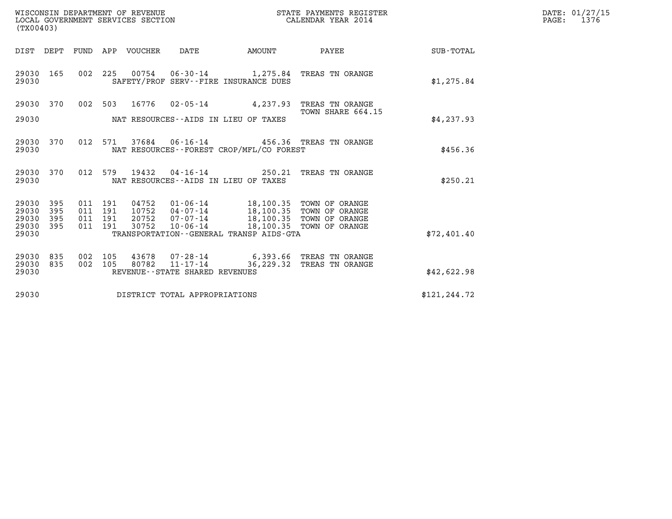| DATE: | 01/27/15 |
|-------|----------|
| PAGE: | 1376     |

| WISCONSIN DEPARTMENT OF REVENUE<br>LOCAL GOVERNMENT SERVICES SECTION<br>(TX00403)                                          |                                                                                                                                                                                                                        | STATE PAYMENTS REGISTER<br>CALENDAR YEAR 2014 |                 | DATE: 01/27/15<br>$\mathtt{PAGE:}$<br>1376 |
|----------------------------------------------------------------------------------------------------------------------------|------------------------------------------------------------------------------------------------------------------------------------------------------------------------------------------------------------------------|-----------------------------------------------|-----------------|--------------------------------------------|
| DIST DEPT FUND APP VOUCHER DATE                                                                                            | <b>EXAMPLE THE AMOUNT</b>                                                                                                                                                                                              |                                               | PAYEE SUB-TOTAL |                                            |
| 29030 165<br>29030                                                                                                         | 002 225 00754 06-30-14 1,275.84 TREAS TN ORANGE<br>SAFETY/PROF SERV--FIRE INSURANCE DUES                                                                                                                               |                                               | \$1,275.84      |                                            |
| 29030 370                                                                                                                  | 002 503 16776 02-05-14 4,237.93 TREAS TN ORANGE                                                                                                                                                                        |                                               |                 |                                            |
| 29030                                                                                                                      | NAT RESOURCES--AIDS IN LIEU OF TAXES                                                                                                                                                                                   | TOWN SHARE 664.15                             | \$4,237.93      |                                            |
| 29030<br>370<br>012<br>29030                                                                                               | NAT RESOURCES - - FOREST CROP/MFL/CO FOREST                                                                                                                                                                            |                                               | \$456.36        |                                            |
| 29030 370<br>29030                                                                                                         | 012 579 19432 04-16-14 250.21 TREAS TN ORANGE<br>NAT RESOURCES--AIDS IN LIEU OF TAXES                                                                                                                                  |                                               | \$250.21        |                                            |
| 395<br>011 191<br>29030<br>29030<br>395<br>011 191<br>29030<br>395<br>011 191<br>29030<br>395<br>011 191<br>30752<br>29030 | 04752  01-06-14  18,100.35  TOWN OF ORANGE<br>10752  04-07-14  18,100.35  TOWN OF ORANGE<br>20752  07-07-14  18,100.35  TOWN OF ORANGE<br>10-06-14 18,100.35 TOWN OF ORANGE<br>TRANSPORTATION--GENERAL TRANSP AIDS-GTA |                                               | \$72,401.40     |                                            |
| 29030<br>835<br>002 105<br>29030<br>835<br>002 105<br>80782<br>29030                                                       | 43678 07-28-14 6,393.66 TREAS TN ORANGE<br>11-17-14<br>REVENUE--STATE SHARED REVENUES                                                                                                                                  | 36,229.32 TREAS TN ORANGE                     | \$42,622.98     |                                            |
| 29030                                                                                                                      | DISTRICT TOTAL APPROPRIATIONS                                                                                                                                                                                          |                                               | \$121, 244.72   |                                            |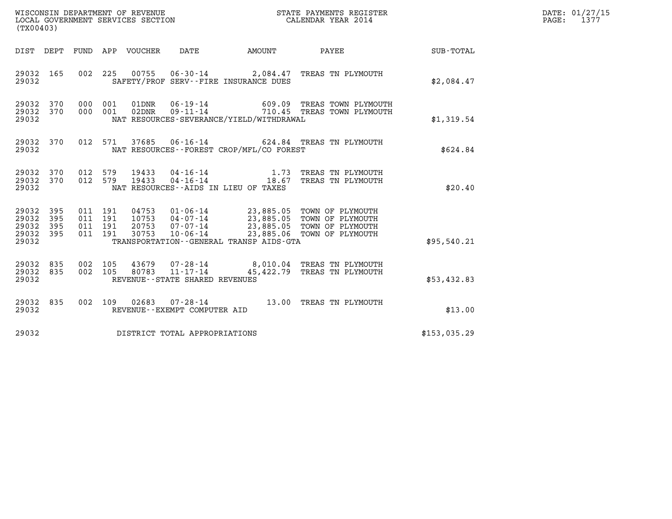| DATE: | 01/27/15 |
|-------|----------|
| PAGE: | 1377     |

| (TX00403)                                         |            |                                          |         |                            | WISCONSIN DEPARTMENT OF REVENUE<br>LOCAL GOVERNMENT SERVICES SECTION |                                             | STATE PAYMENTS REGISTER<br>CALENDAR YEAR 2014                                                                                                                              |                  | DATE: 01/27/15<br>PAGE: 1377 |
|---------------------------------------------------|------------|------------------------------------------|---------|----------------------------|----------------------------------------------------------------------|---------------------------------------------|----------------------------------------------------------------------------------------------------------------------------------------------------------------------------|------------------|------------------------------|
|                                                   |            |                                          |         | DIST DEPT FUND APP VOUCHER | DATE                                                                 | AMOUNT                                      | <b>PAYEE</b>                                                                                                                                                               | <b>SUB-TOTAL</b> |                              |
| 29032 165<br>29032                                |            | 002 225                                  |         |                            |                                                                      | SAFETY/PROF SERV--FIRE INSURANCE DUES       | 00755  06-30-14  2,084.47  TREAS TN PLYMOUTH                                                                                                                               | \$2,084.47       |                              |
| 29032 370<br>29032 370<br>29032                   |            | 000<br>000 001                           | 001     | 01DNR<br>02DNR             | $06 - 19 - 14$<br>$09 - 11 - 14$                                     | NAT RESOURCES-SEVERANCE/YIELD/WITHDRAWAL    | 609.09 TREAS TOWN PLYMOUTH<br>710.45 TREAS TOWN PLYMOUTH                                                                                                                   | \$1,319.54       |                              |
| 29032 370<br>29032                                |            |                                          | 012 571 |                            |                                                                      | NAT RESOURCES - - FOREST CROP/MFL/CO FOREST | 37685  06-16-14  624.84  TREAS TN PLYMOUTH                                                                                                                                 | \$624.84         |                              |
| 29032 370<br>29032 370<br>29032                   |            | 012 579<br>012 579                       |         | 19433<br>19433             |                                                                      | NAT RESOURCES--AIDS IN LIEU OF TAXES        | 04-16-14 1.73 TREAS TN PLYMOUTH<br>04-16-14 18.67 TREAS TN PLYMOUTH                                                                                                        | \$20.40          |                              |
| 29032 395<br>29032<br>29032<br>29032 395<br>29032 | 395<br>395 | 011 191<br>011 191<br>011 191<br>011 191 |         | 30753                      | 20753 07-07-14                                                       | TRANSPORTATION--GENERAL TRANSP AIDS-GTA     | 04753  01-06-14  23,885.05  TOWN OF PLYMOUTH<br>10753  04-07-14  23,885.05  TOWN OF PLYMOUTH<br>07-07-14 23,885.05 TOWN OF PLYMOUTH<br>10-06-14 23,885.05 TOWN OF PLYMOUTH | \$95,540.21      |                              |
| 29032 835<br>29032 835<br>29032                   |            | 002 105<br>002 105                       |         | 80783                      | 11-17-14<br>REVENUE - - STATE SHARED REVENUES                        |                                             | 43679  07-28-14  8,010.04  TREAS TN PLYMOUTH<br>45,422.79 TREAS TN PLYMOUTH                                                                                                | \$53,432.83      |                              |
| 29032 835<br>29032                                |            |                                          |         |                            | REVENUE--EXEMPT COMPUTER AID                                         |                                             | 002 109 02683 07-28-14 13.00 TREAS TN PLYMOUTH                                                                                                                             | \$13.00          |                              |
| 29032                                             |            |                                          |         |                            | DISTRICT TOTAL APPROPRIATIONS                                        |                                             |                                                                                                                                                                            | \$153,035.29     |                              |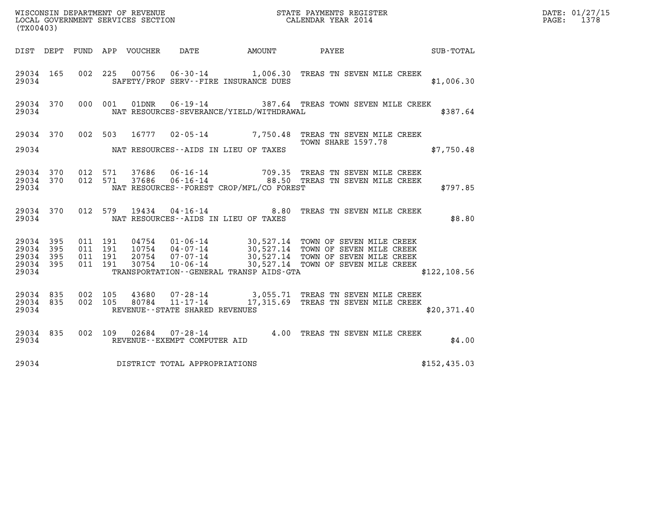| (TX00403)                                        |           |                               |         |                |                                |                                                  | WISCONSIN DEPARTMENT OF REVENUE<br>LOCAL GOVERNMENT SERVICES SECTION<br>(TWOO403)                                                                                                                                              |  |               | DATE: 01/27/15<br>$\mathtt{PAGE:}$<br>1378 |
|--------------------------------------------------|-----------|-------------------------------|---------|----------------|--------------------------------|--------------------------------------------------|--------------------------------------------------------------------------------------------------------------------------------------------------------------------------------------------------------------------------------|--|---------------|--------------------------------------------|
|                                                  |           |                               |         |                |                                |                                                  |                                                                                                                                                                                                                                |  |               |                                            |
| 29034 165<br>29034                               |           |                               |         |                |                                | SAFETY/PROF SERV--FIRE INSURANCE DUES            | 002 225 00756 06-30-14 1,006.30 TREAS TN SEVEN MILE CREEK                                                                                                                                                                      |  | \$1,006.30    |                                            |
| 29034                                            | 29034 370 |                               |         |                |                                | NAT RESOURCES-SEVERANCE/YIELD/WITHDRAWAL         | 000 001 01DNR 06-19-14 387.64 TREAS TOWN SEVEN MILE CREEK                                                                                                                                                                      |  | \$387.64      |                                            |
|                                                  |           |                               |         |                |                                |                                                  | 29034 370 002 503 16777 02-05-14 7,750.48 TREAS TN SEVEN MILE CREEK                                                                                                                                                            |  |               |                                            |
|                                                  |           |                               |         |                |                                | 29034 NAT RESOURCES--AIDS IN LIEU OF TAXES       | TOWN SHARE 1597.78                                                                                                                                                                                                             |  | \$7,750.48    |                                            |
| 29034 370<br>29034                               |           | 29034 370 012 571<br>012 571  |         |                |                                | NAT RESOURCES--FOREST CROP/MFL/CO FOREST         |                                                                                                                                                                                                                                |  | \$797.85      |                                            |
| 29034                                            | 29034 370 |                               |         |                |                                | NAT RESOURCES--AIDS IN LIEU OF TAXES             | 012 579 19434 04-16-14 8.80 TREAS TN SEVEN MILE CREEK                                                                                                                                                                          |  | \$8.80        |                                            |
| 29034 395<br>29034 395<br>29034 395<br>29034 395 |           | 011 191<br>011 191<br>011 191 | 011 191 |                |                                | 29034 TRANSPORTATION - GENERAL TRANSP AIDS - GTA | 04754  01-06-14  30,527.14  TOWN OF SEVEN MILE CREEK<br>10754  04-07-14  30,527.14  TOWN OF SEVEN MILE CREEK<br>20754  07-07-14  30,527.14  TOWN OF SEVEN MILE CREEK<br>30754  10-06-14   100,527.14  TOWN OF SEVEN MILE CREEK |  | \$122, 108.56 |                                            |
| 29034 835<br>29034 835<br>29034                  |           | 002 105<br>002 105            |         | 43680<br>80784 | REVENUE--STATE SHARED REVENUES |                                                  | 07-28-14 3,055.71 TREAS TN SEVEN MILE CREEK<br>11-17-14 17,315.69 TREAS TN SEVEN MILE CREEK                                                                                                                                    |  | \$20,371.40   |                                            |
| 29034 835<br>29034                               |           |                               |         |                | REVENUE--EXEMPT COMPUTER AID   |                                                  | 002 109 02684 07-28-14 4.00 TREAS TN SEVEN MILE CREEK                                                                                                                                                                          |  | \$4.00        |                                            |
| 29034                                            |           |                               |         |                | DISTRICT TOTAL APPROPRIATIONS  |                                                  |                                                                                                                                                                                                                                |  | \$152,435.03  |                                            |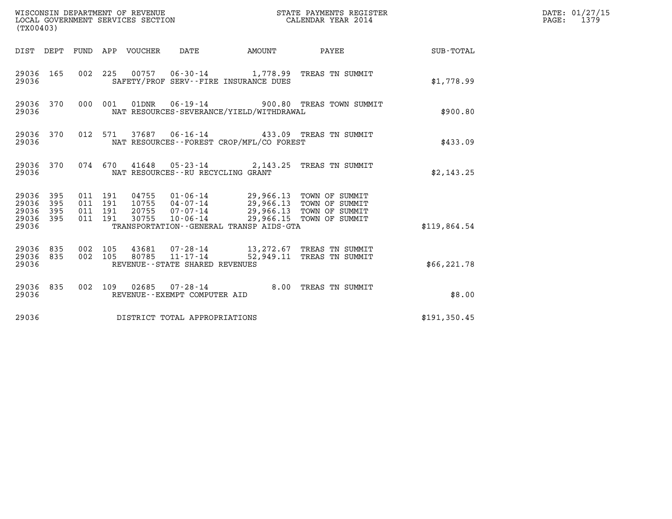| (TX00403)                                         |            |                                          |         | WISCONSIN DEPARTMENT OF REVENUE  | WISCONSIN DEPARTMENT OF REVENUE<br>LOCAL GOVERNMENT SERVICES SECTION |                                                                                                          | STATE PAYMENTS REGISTER<br>CALENDAR YEAR 2014          |              | DATE: 01/27/15<br>PAGE:<br>1379 |
|---------------------------------------------------|------------|------------------------------------------|---------|----------------------------------|----------------------------------------------------------------------|----------------------------------------------------------------------------------------------------------|--------------------------------------------------------|--------------|---------------------------------|
|                                                   |            |                                          |         | DIST DEPT FUND APP VOUCHER       | DATE                                                                 | AMOUNT                                                                                                   | PAYEE                                                  | SUB-TOTAL    |                                 |
| 29036 165<br>29036                                |            |                                          | 002 225 |                                  |                                                                      | SAFETY/PROF SERV--FIRE INSURANCE DUES                                                                    | 00757  06-30-14   1,778.99  TREAS TN SUMMIT            | \$1,778.99   |                                 |
| 29036 370<br>29036                                |            | 000 001                                  |         | 01DNR                            | $06 - 19 - 14$                                                       | NAT RESOURCES-SEVERANCE/YIELD/WITHDRAWAL                                                                 | 900.80 TREAS TOWN SUMMIT                               | \$900.80     |                                 |
| 29036 370<br>29036                                |            | 012 571                                  |         |                                  |                                                                      | NAT RESOURCES--FOREST CROP/MFL/CO FOREST                                                                 | 37687  06-16-14  433.09  TREAS TN SUMMIT               | \$433.09     |                                 |
| 29036 370<br>29036                                |            |                                          | 074 670 |                                  | NAT RESOURCES - - RU RECYCLING GRANT                                 |                                                                                                          | 41648  05-23-14  2,143.25  TREAS TN SUMMIT             | \$2,143.25   |                                 |
| 29036 395<br>29036<br>29036<br>29036 395<br>29036 | 395<br>395 | 011 191<br>011 191<br>011 191<br>011 191 |         | 04755<br>10755<br>20755<br>30755 | 04-07-14<br>07-07-14<br>$10 - 06 - 14$                               | 01-06-14 29,966.13 TOWN OF SUMMIT<br>29,966.13 TOWN OF SUMMIT<br>TRANSPORTATION--GENERAL TRANSP AIDS-GTA | 29,966.13 TOWN OF SUMMIT<br>29,966.15 TOWN OF SUMMIT   | \$119,864.54 |                                 |
| 29036 835<br>29036<br>29036                       | 835        | 002 105<br>002 105                       |         | 80785                            | 43681 07-28-14<br>$11 - 17 - 14$<br>REVENUE--STATE SHARED REVENUES   |                                                                                                          | 13,272.67 TREAS TN SUMMIT<br>52,949.11 TREAS TN SUMMIT | \$66, 221.78 |                                 |
| 29036 835<br>29036                                |            |                                          | 002 109 |                                  | $02685$ $07 - 28 - 14$<br>REVENUE--EXEMPT COMPUTER AID               |                                                                                                          | 8.00 TREAS TN SUMMIT                                   | \$8.00       |                                 |
| 29036                                             |            |                                          |         |                                  | DISTRICT TOTAL APPROPRIATIONS                                        |                                                                                                          |                                                        | \$191,350.45 |                                 |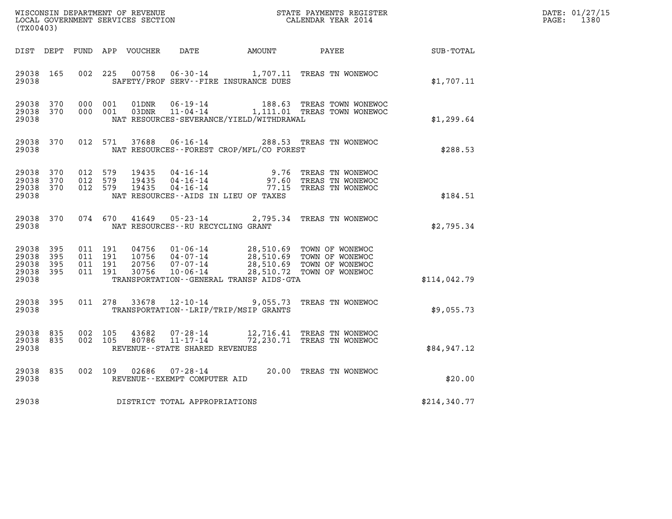| WISCONSIN DEPARTMENT OF REVENUE<br>LOCAL GOVERNMENT SERVICES SECTION<br>(TX00403) |                       |                               |                    |                                  |                                                                 | STATE PAYMENTS REGISTER<br>CALENDAR YEAR 2014 |                                                                                                                  |              | DATE: 01/27/15<br>$\mathtt{PAGE:}$<br>1380 |
|-----------------------------------------------------------------------------------|-----------------------|-------------------------------|--------------------|----------------------------------|-----------------------------------------------------------------|-----------------------------------------------|------------------------------------------------------------------------------------------------------------------|--------------|--------------------------------------------|
| DIST DEPT                                                                         |                       |                               |                    | FUND APP VOUCHER                 | DATE                                                            | <b>AMOUNT</b>                                 | PAYEE                                                                                                            | SUB-TOTAL    |                                            |
| 29038 165<br>29038                                                                |                       | 002 225                       |                    | 00758                            |                                                                 | SAFETY/PROF SERV--FIRE INSURANCE DUES         | 06-30-14 1,707.11 TREAS TN WONEWOC                                                                               | \$1,707.11   |                                            |
| 29038<br>29038 370<br>29038                                                       | 370                   |                               | 000 001<br>000 001 | 01DNR<br>03DNR                   | 06-19-14                                                        | NAT RESOURCES-SEVERANCE/YIELD/WITHDRAWAL      | 188.63 TREAS TOWN WONEWOC<br>11-04-14 1,111.01 TREAS TOWN WONEWOC                                                | \$1,299.64   |                                            |
| 29038 370<br>29038                                                                |                       |                               | 012 571            | 37688                            | $06 - 16 - 14$                                                  | NAT RESOURCES--FOREST CROP/MFL/CO FOREST      | 288.53 TREAS TN WONEWOC                                                                                          | \$288.53     |                                            |
| 29038<br>29038<br>29038 370<br>29038                                              | 370<br>370            | 012 579<br>012 579<br>012 579 |                    | 19435<br>19435<br>19435          | $04 - 16 - 14$<br>04-16-14<br>$04 - 16 - 14$                    | NAT RESOURCES -- AIDS IN LIEU OF TAXES        | 9.76 TREAS TN WONEWOC<br>97.60 TREAS TN WONEWOC<br>77.15 TREAS TN WONEWOC                                        | \$184.51     |                                            |
| 29038 370<br>29038                                                                |                       |                               | 074 670            | 41649                            |                                                                 | NAT RESOURCES -- RU RECYCLING GRANT           | 05-23-14 2,795.34 TREAS TN WONEWOC                                                                               | \$2,795.34   |                                            |
| 29038<br>29038<br>29038<br>29038 395<br>29038                                     | 395<br>- 395<br>- 395 | 011 191<br>011 191            | 011 191<br>011 191 | 04756<br>10756<br>20756<br>30756 | 01-06-14<br>04-07-14<br>07-07-14<br>10-06-14                    | TRANSPORTATION - - GENERAL TRANSP AIDS - GTA  | 28,510.69 TOWN OF WONEWOC<br>28,510.69 TOWN OF WONEWOC<br>28,510.69 TOWN OF WONEWOC<br>28,510.72 TOWN OF WONEWOC | \$114,042.79 |                                            |
| 29038<br>29038                                                                    | 395                   |                               | 011 278            | 33678                            | $12 - 10 - 14$                                                  | TRANSPORTATION - - LRIP/TRIP/MSIP GRANTS      | 9,055.73 TREAS TN WONEWOC                                                                                        | \$9,055.73   |                                            |
| 29038 835<br>29038 835<br>29038                                                   |                       | 002 105<br>002 105            |                    | 43682<br>80786                   | 07-28-14<br>$11 - 17 - 14$<br>REVENUE - - STATE SHARED REVENUES |                                               | 12,716.41 TREAS TN WONEWOC<br>72,230.71 TREAS TN WONEWOC                                                         | \$84,947.12  |                                            |
| 29038<br>29038                                                                    | 835                   | 002 109                       |                    | 02686                            | $07 - 28 - 14$<br>REVENUE--EXEMPT COMPUTER AID                  |                                               | 20.00 TREAS TN WONEWOC                                                                                           | \$20.00      |                                            |
| 29038                                                                             |                       |                               |                    |                                  | DISTRICT TOTAL APPROPRIATIONS                                   |                                               |                                                                                                                  | \$214,340.77 |                                            |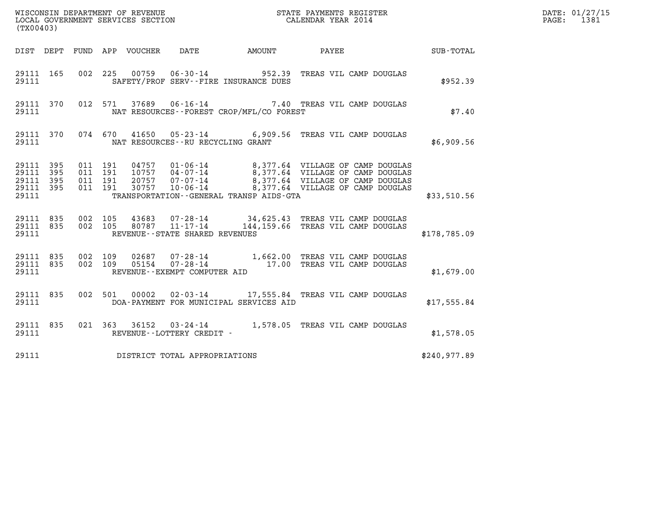| WISCONSIN DEPARTMENT OF REVENUE<br>LOCAL GOVERNMENT SERVICES SECTION<br>. | STATE PAYMENTS REGISTER<br>CALENDAR YEAR 2014 | DATE: 01/27/15<br>1381<br>PAGE: |
|---------------------------------------------------------------------------|-----------------------------------------------|---------------------------------|

| (TX00403)                                                                           | STATE PAYMENTS REGISTER                                                                                                                                                                                                                     |              |  |  |  |  |  |  |  |
|-------------------------------------------------------------------------------------|---------------------------------------------------------------------------------------------------------------------------------------------------------------------------------------------------------------------------------------------|--------------|--|--|--|--|--|--|--|
| DEPT<br>FUND<br>DIST                                                                | APP VOUCHER DATE AMOUNT PAYEE                                                                                                                                                                                                               | SUB-TOTAL    |  |  |  |  |  |  |  |
| 29111 165<br>29111                                                                  | 002 225<br>00759  06-30-14  952.39  TREAS VIL CAMP DOUGLAS<br>SAFETY/PROF SERV--FIRE INSURANCE DUES                                                                                                                                         | \$952.39     |  |  |  |  |  |  |  |
| 012<br>370<br>29111<br>29111                                                        | 37689   06-16-14   7.40   TREAS VIL CAMP DOUGLAS<br>571<br>NAT RESOURCES - - FOREST CROP/MFL/CO FOREST                                                                                                                                      | \$7.40       |  |  |  |  |  |  |  |
| 370<br>29111<br>29111                                                               | 41650 05-23-14 6,909.56 TREAS VIL CAMP DOUGLAS<br>074 670<br>NAT RESOURCES - - RU RECYCLING GRANT                                                                                                                                           | \$6,909.56   |  |  |  |  |  |  |  |
| 29111<br>395<br>29111<br>011<br>395<br>29111<br>395<br>011<br>29111<br>395<br>29111 | 011 191<br>191<br>191<br>011 191<br>TRANSPORTATION--GENERAL TRANSP AIDS-GTA                                                                                                                                                                 | \$33,510.56  |  |  |  |  |  |  |  |
| 835<br>002<br>29111<br>29111 835<br>002<br>29111                                    | 105<br>$\begin{array}{cccc} 43683 & 07\text{-}28\text{-}14 & 34,625.43 & \text{TREAS VIL CAMP DOUTLAS} \\ 80787 & 11\text{-}17\text{-}14 & 144,159.66 & \text{TREAS VIL CAMP DOUTLAS} \end{array}$<br>105<br>REVENUE--STATE SHARED REVENUES | \$178,785.09 |  |  |  |  |  |  |  |
| 29111 835<br>002<br>002<br>29111 835<br>29111                                       | $07-28-14$ $1,662.00$ TREAS VIL CAMP DOUGLAS<br>07-28-14 17.00 TREAS VIL CAMP DOUGLAS<br>109<br>02687<br>109<br>05154<br>REVENUE--EXEMPT COMPUTER AID                                                                                       | \$1,679.00   |  |  |  |  |  |  |  |
| 835<br>002<br>29111<br>29111                                                        | 00002  02-03-14  17,555.84 TREAS VIL CAMP DOUGLAS<br>501<br>DOA-PAYMENT FOR MUNICIPAL SERVICES AID                                                                                                                                          | \$17,555.84  |  |  |  |  |  |  |  |
| 29111<br>835<br>29111                                                               | 36152 03-24-14 1,578.05 TREAS VIL CAMP DOUGLAS<br>021 363<br>REVENUE - - LOTTERY CREDIT -                                                                                                                                                   | \$1,578.05   |  |  |  |  |  |  |  |
| 29111                                                                               | DISTRICT TOTAL APPROPRIATIONS                                                                                                                                                                                                               | \$240,977.89 |  |  |  |  |  |  |  |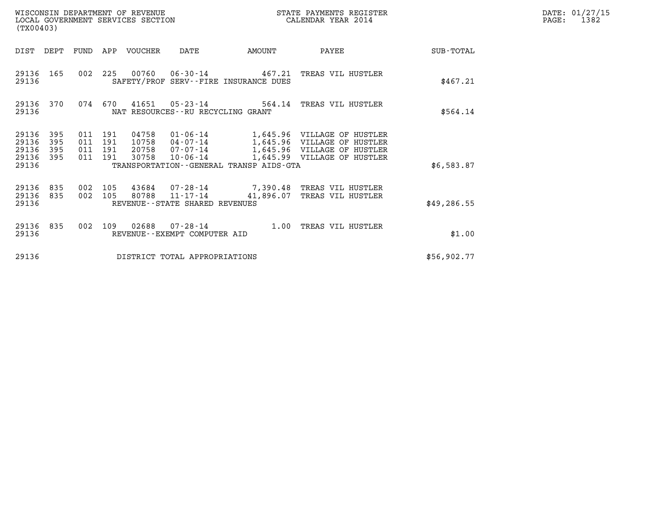| (TX00403)                                                             | WISCONSIN DEPARTMENT OF REVENUE<br>LOCAL GOVERNMENT SERVICES SECTION |                                                                                                                                                                                                                                 | STATE PAYMENTS REGISTER<br>CALENDAR YEAR 2014 |              | DATE: 01/27/15<br>$\mathtt{PAGE}$ :<br>1382 |
|-----------------------------------------------------------------------|----------------------------------------------------------------------|---------------------------------------------------------------------------------------------------------------------------------------------------------------------------------------------------------------------------------|-----------------------------------------------|--------------|---------------------------------------------|
|                                                                       | DIST DEPT FUND APP VOUCHER                                           | AMOUNT<br>DATE                                                                                                                                                                                                                  | PAYEE                                         | SUB-TOTAL    |                                             |
| 29136<br>165<br>29136                                                 |                                                                      | 002 225 00760 06-30-14 467.21 TREAS VIL HUSTLER<br>SAFETY/PROF SERV--FIRE INSURANCE DUES                                                                                                                                        |                                               | \$467.21     |                                             |
| 29136 370<br>29136                                                    | 074 670                                                              | $41651$ 05-23-14<br>NAT RESOURCES--RU RECYCLING GRANT                                                                                                                                                                           | 564.14 TREAS VIL HUSTLER                      | \$564.14     |                                             |
| 29136<br>395<br>29136<br>395<br>29136<br>395<br>395<br>29136<br>29136 | 011 191<br>011 191<br>011 191<br>011 191<br>30758                    | 04758 01-06-14 1,645.96 VILLAGE OF HUSTLER<br>10758 04-07-14 1,645.96 VILLAGE OF HUSTLER<br>20758  07-07-14   1,645.96    VILLAGE OF HUSTLER<br>10-06-14 1,645.99 VILLAGE OF HUSTLER<br>TRANSPORTATION--GENERAL TRANSP AIDS-GTA |                                               | \$6,583.87   |                                             |
| 29136 835<br>29136<br>835<br>29136                                    | 002 105<br>002 105                                                   | 43684 07-28-14 7,390.48 TREAS VIL HUSTLER<br>80788 11-17-14<br>REVENUE--STATE SHARED REVENUES                                                                                                                                   | 41,896.07 TREAS VIL HUSTLER                   | \$49, 286.55 |                                             |
| 29136 835<br>29136                                                    | 002 109                                                              | REVENUE--EXEMPT COMPUTER AID                                                                                                                                                                                                    |                                               | \$1.00       |                                             |
| 29136                                                                 |                                                                      | DISTRICT TOTAL APPROPRIATIONS                                                                                                                                                                                                   |                                               | \$56,902.77  |                                             |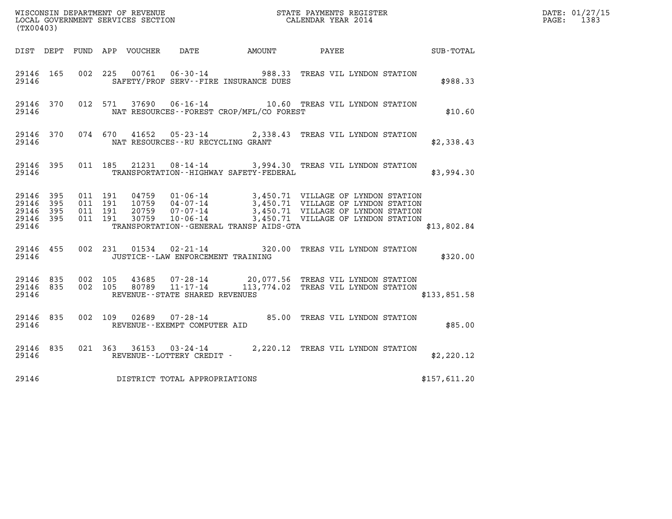| (TX00403)                                |                        |                    |                    |       |                                                          |                                                                                                                                                                                                                                                                              |                                     |  | DATE: 01/27/15<br>PAGE: 1383 |  |
|------------------------------------------|------------------------|--------------------|--------------------|-------|----------------------------------------------------------|------------------------------------------------------------------------------------------------------------------------------------------------------------------------------------------------------------------------------------------------------------------------------|-------------------------------------|--|------------------------------|--|
|                                          |                        |                    |                    |       |                                                          | DIST DEPT FUND APP VOUCHER DATE AMOUNT PAYEE TOTAL                                                                                                                                                                                                                           |                                     |  |                              |  |
| 29146 165<br>29146                       |                        |                    |                    |       |                                                          | 002 225 00761 06-30-14 988.33 TREAS VIL LYNDON STATION<br>SAFETY/PROF SERV--FIRE INSURANCE DUES                                                                                                                                                                              |                                     |  | \$988.33                     |  |
| 29146                                    | 29146 370              |                    |                    |       |                                                          | 012 571 37690 06-16-14 10.60 TREAS VIL LYNDON STATION<br>NAT RESOURCES - - FOREST CROP/MFL/CO FOREST                                                                                                                                                                         |                                     |  | \$10.60                      |  |
| 29146                                    | 29146 370              |                    |                    |       | NAT RESOURCES--RU RECYCLING GRANT                        | 074 670 41652 05-23-14 2,338.43 TREAS VIL LYNDON STATION                                                                                                                                                                                                                     |                                     |  | \$2,338.43                   |  |
| 29146                                    | 29146 395              |                    |                    |       |                                                          | 011 185 21231 08-14-14 3,994.30 TREAS VIL LYNDON STATION<br>TRANSPORTATION--HIGHWAY SAFETY-FEDERAL                                                                                                                                                                           |                                     |  | \$3,994.30                   |  |
| 29146<br>29146 395<br>29146 395<br>29146 | 29146 395<br>- 395     | 011 191<br>011 191 | 011 191<br>011 191 |       |                                                          | 04759  01-06-14  3,450.71  VILLAGE OF LYNDON STATION<br>10759  04-07-14  3,450.71  VILLAGE OF LYNDON STATION<br>20759  07-07-14  3,450.71  VILLAGE OF LYNDON STATION<br>30759  10-06-14  3,450.71  VILLAGE OF LYNDON STATION<br>TRANSPORTATION - - GENERAL TRANSP AIDS - GTA |                                     |  | \$13,802.84                  |  |
| 29146                                    |                        |                    |                    |       |                                                          | 29146 455 002 231 01534 02-21-14 320.00 TREAS VIL LYNDON STATION<br>JUSTICE - - LAW ENFORCEMENT TRAINING                                                                                                                                                                     |                                     |  | \$320.00                     |  |
| 29146                                    | 29146 835<br>29146 835 | 002 105            |                    | 43685 | 002 105 80789 11-17-14<br>REVENUE--STATE SHARED REVENUES | 07-28-14 20,077.56 TREAS VIL LYNDON STATION                                                                                                                                                                                                                                  | 113,774.02 TREAS VIL LYNDON STATION |  | \$133,851.58                 |  |
| 29146 835<br>29146                       |                        |                    |                    |       | REVENUE--EXEMPT COMPUTER AID                             | 002 109 02689 07-28-14 85.00 TREAS VIL LYNDON STATION                                                                                                                                                                                                                        |                                     |  | \$85.00                      |  |
| 29146                                    | 29146 835              |                    |                    |       | REVENUE--LOTTERY CREDIT -                                | 021 363 36153 03-24-14 2,220.12 TREAS VIL LYNDON STATION                                                                                                                                                                                                                     |                                     |  | \$2,220.12                   |  |
| 29146                                    |                        |                    |                    |       | DISTRICT TOTAL APPROPRIATIONS                            |                                                                                                                                                                                                                                                                              |                                     |  | \$157,611.20                 |  |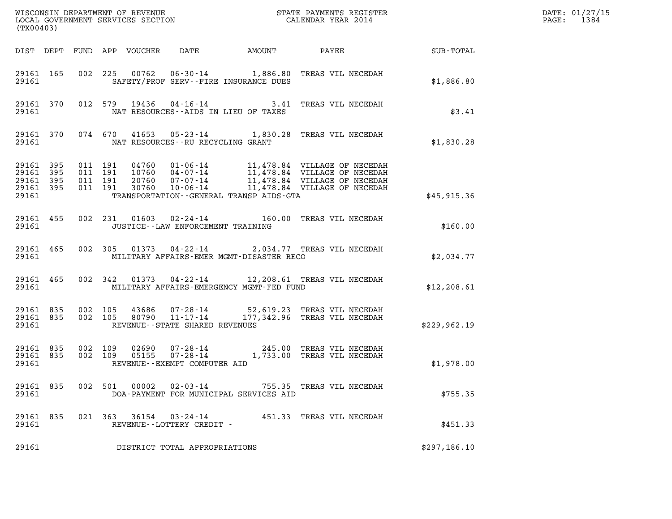| (TX00403)          |                                                      |                    |         |                                                     |                                          |                                                                                                                               |              | DATE: 01/27/15<br>PAGE: 1384 |
|--------------------|------------------------------------------------------|--------------------|---------|-----------------------------------------------------|------------------------------------------|-------------------------------------------------------------------------------------------------------------------------------|--------------|------------------------------|
|                    |                                                      |                    |         |                                                     |                                          | DIST DEPT FUND APP VOUCHER DATE AMOUNT PAYEE TO SUB-TOTAL                                                                     |              |                              |
|                    | 29161                                                |                    |         |                                                     | SAFETY/PROF SERV--FIRE INSURANCE DUES    | 29161 165 002 225 00762 06-30-14 1,886.80 TREAS VIL NECEDAH                                                                   | \$1,886.80   |                              |
| 29161 2012         |                                                      |                    |         |                                                     | NAT RESOURCES--AIDS IN LIEU OF TAXES     | 29161 370 012 579 19436 04-16-14 3.41 TREAS VIL NECEDAH                                                                       | \$3.41       |                              |
|                    | 29161 2012                                           |                    |         | NAT RESOURCES--RU RECYCLING GRANT                   |                                          | 29161 370 074 670 41653 05-23-14 1,830.28 TREAS VIL NECEDAH                                                                   | \$1,830.28   |                              |
| 29161 395          | 29161 395 011 191<br>29161 395<br>29161 395<br>29161 | 011 191<br>011 191 | 011 191 |                                                     | TRANSPORTATION--GENERAL TRANSP AIDS-GTA  |                                                                                                                               | \$45,915.36  |                              |
| 29161              |                                                      |                    |         | JUSTICE -- LAW ENFORCEMENT TRAINING                 |                                          | 29161 455 002 231 01603 02-24-14 160.00 TREAS VIL NECEDAH                                                                     | \$160.00     |                              |
| 29161 2012         |                                                      |                    |         |                                                     | MILITARY AFFAIRS-EMER MGMT-DISASTER RECO | 29161 465 002 305 01373 04-22-14 2,034.77 TREAS VIL NECEDAH                                                                   | \$2,034.77   |                              |
| 29161 2012         |                                                      |                    |         |                                                     | MILITARY AFFAIRS-EMERGENCY MGMT-FED FUND | 29161 465 002 342 01373 04-22-14 12,208.61 TREAS VIL NECEDAH                                                                  | \$12, 208.61 |                              |
| 29161              |                                                      |                    |         | REVENUE--STATE SHARED REVENUES                      |                                          | 29161 835 002 105 43686 07-28-14 52,619.23 TREAS VIL NECEDAH<br>29161 835 002 105 80790 11-17-14 177,342.96 TREAS VIL NECEDAH | \$229,962.19 |                              |
| 29161              |                                                      |                    |         | REVENUE--EXEMPT COMPUTER AID                        |                                          | 29161 835 002 109 02690 07-28-14 245.00 TREAS VIL NECEDAH<br>29161 835 002 109 05155 07-28-14 1,733.00 TREAS VIL NECEDAH      | \$1,978.00   |                              |
| 29161 835<br>29161 |                                                      |                    | 002 501 |                                                     | DOA-PAYMENT FOR MUNICIPAL SERVICES AID   | 755.35 TREAS VIL NECEDAH                                                                                                      | \$755.35     |                              |
| 29161 835<br>29161 |                                                      |                    |         | 021 363 36154 03-24-14<br>REVENUE--LOTTERY CREDIT - |                                          | 451.33 TREAS VIL NECEDAH                                                                                                      | \$451.33     |                              |
| 29161              |                                                      |                    |         | DISTRICT TOTAL APPROPRIATIONS                       |                                          |                                                                                                                               | \$297,186.10 |                              |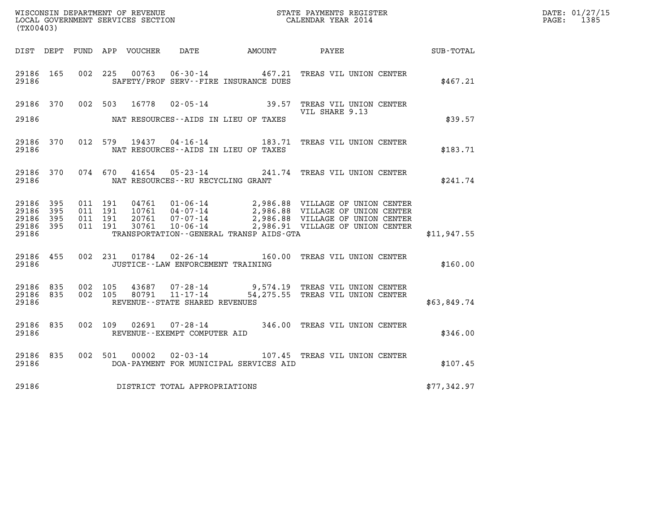| (TX00403)                                         |              |                               |         |               |                                   |                                              |                                                                                                                                                                                                                      |                      | DATE: 01/27/15<br>PAGE: 1385 |
|---------------------------------------------------|--------------|-------------------------------|---------|---------------|-----------------------------------|----------------------------------------------|----------------------------------------------------------------------------------------------------------------------------------------------------------------------------------------------------------------------|----------------------|------------------------------|
|                                                   |              |                               |         |               |                                   | DIST DEPT FUND APP VOUCHER DATE AMOUNT PAYEE |                                                                                                                                                                                                                      | $\texttt{SUB-TOTAL}$ |                              |
| 29186 165<br>29186                                |              |                               |         |               |                                   | SAFETY/PROF SERV--FIRE INSURANCE DUES        | 002 225 00763 06-30-14 467.21 TREAS VIL UNION CENTER                                                                                                                                                                 | \$467.21             |                              |
| 29186 370                                         |              |                               |         |               |                                   |                                              | 002 503 16778 02-05-14 39.57 TREAS VIL UNION CENTER<br>VIL SHARE 9.13                                                                                                                                                |                      |                              |
| 29186                                             |              |                               |         |               |                                   | NAT RESOURCES--AIDS IN LIEU OF TAXES         |                                                                                                                                                                                                                      | \$39.57              |                              |
| 29186                                             | 29186 370    |                               |         |               |                                   | NAT RESOURCES--AIDS IN LIEU OF TAXES         | 012 579 19437 04-16-14 183.71 TREAS VIL UNION CENTER                                                                                                                                                                 | \$183.71             |                              |
| 29186                                             | 29186 370    |                               |         |               | NAT RESOURCES--RU RECYCLING GRANT |                                              | 074 670 41654 05-23-14 241.74 TREAS VIL UNION CENTER                                                                                                                                                                 | \$241.74             |                              |
| 29186 395<br>29186<br>29186<br>29186 395<br>29186 | 395<br>- 395 | 011 191<br>011 191<br>011 191 | 011 191 |               |                                   | TRANSPORTATION - - GENERAL TRANSP AIDS - GTA | 04761  01-06-14  2,986.88  VILLAGE OF UNION CENTER<br>10761  04-07-14  2,986.88  VILLAGE OF UNION CENTER<br>20761  07-07-14  2,986.88  VILLAGE OF UNION CENTER<br>30761  10-06-14  2,986.91  VILLAGE OF UNION CENTER | \$11,947.55          |                              |
| 29186 455<br>29186                                |              |                               |         |               | JUSTICE--LAW ENFORCEMENT TRAINING |                                              | 002 231 01784 02-26-14 160.00 TREAS VIL UNION CENTER                                                                                                                                                                 | \$160.00             |                              |
| 29186 835<br>29186                                | 29186 835    |                               |         |               | REVENUE--STATE SHARED REVENUES    |                                              | 002 105 43687 07-28-14 9,574.19 TREAS VIL UNION CENTER<br>002 105 80791 11-17-14 54,275.55 TREAS VIL UNION CENTER                                                                                                    | \$63,849.74          |                              |
| 29186 835<br>29186                                |              |                               |         |               | REVENUE--EXEMPT COMPUTER AID      |                                              | 002 109 02691 07-28-14 346.00 TREAS VIL UNION CENTER                                                                                                                                                                 | \$346.00             |                              |
| 29186 835<br>29186                                |              |                               |         | 002 501 00002 |                                   | DOA-PAYMENT FOR MUNICIPAL SERVICES AID       | 02-03-14 107.45 TREAS VIL UNION CENTER                                                                                                                                                                               | \$107.45             |                              |
| 29186                                             |              |                               |         |               | DISTRICT TOTAL APPROPRIATIONS     |                                              |                                                                                                                                                                                                                      | \$77,342.97          |                              |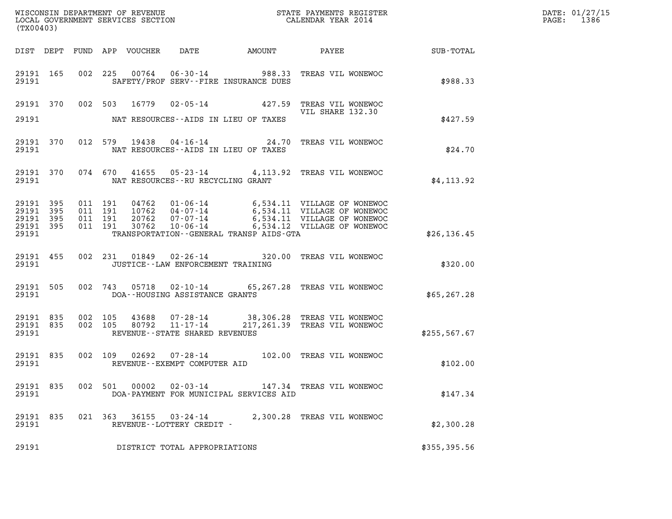| (TX00403)                                                 |                    |         |                                          |       |                                                     |                                              |                                                                                                                                                                                                  |               | DATE: 01/27/15<br>PAGE: 1386 |
|-----------------------------------------------------------|--------------------|---------|------------------------------------------|-------|-----------------------------------------------------|----------------------------------------------|--------------------------------------------------------------------------------------------------------------------------------------------------------------------------------------------------|---------------|------------------------------|
|                                                           |                    |         |                                          |       |                                                     |                                              |                                                                                                                                                                                                  |               |                              |
| 29191 165<br>29191                                        |                    |         |                                          |       |                                                     | SAFETY/PROF SERV--FIRE INSURANCE DUES        | 002 225 00764 06-30-14 988.33 TREAS VIL WONEWOC                                                                                                                                                  | \$988.33      |                              |
|                                                           |                    |         |                                          |       |                                                     |                                              | 29191 370 002 503 16779 02-05-14 427.59 TREAS VIL WONEWOC<br>VIL SHARE 132.30                                                                                                                    |               |                              |
| 29191                                                     |                    |         |                                          |       |                                                     | NAT RESOURCES--AIDS IN LIEU OF TAXES         |                                                                                                                                                                                                  | \$427.59      |                              |
| 29191                                                     | 29191 370          |         |                                          |       |                                                     | NAT RESOURCES--AIDS IN LIEU OF TAXES         | 012 579 19438 04-16-14 24.70 TREAS VIL WONEWOC                                                                                                                                                   | \$24.70       |                              |
|                                                           | 29191 370<br>29191 |         |                                          |       | NAT RESOURCES--RU RECYCLING GRANT                   |                                              | 074 670 41655 05-23-14 4,113.92 TREAS VIL WONEWOC                                                                                                                                                | \$4,113.92    |                              |
| 29191 395<br>29191 395<br>29191 395<br>29191 395<br>29191 |                    |         | 011 191<br>011 191<br>011 191<br>011 191 |       |                                                     | TRANSPORTATION - - GENERAL TRANSP AIDS - GTA | 04762  01-06-14  6,534.11  VILLAGE OF WONEWOC<br>10762  04-07-14  6,534.11  VILLAGE OF WONEWOC<br>20762  07-07-14  6,534.11  VILLAGE OF WONEWOC<br>30762  10-06-14  6,534.12  VILLAGE OF WONEWOC | \$26, 136.45  |                              |
| 29191                                                     | 29191 455          |         |                                          |       | JUSTICE -- LAW ENFORCEMENT TRAINING                 |                                              | 002 231 01849 02-26-14 320.00 TREAS VIL WONEWOC                                                                                                                                                  | \$320.00      |                              |
| 29191                                                     | 29191 505          |         |                                          |       | DOA--HOUSING ASSISTANCE GRANTS                      |                                              | 002 743 05718 02-10-14 65,267.28 TREAS VIL WONEWOC                                                                                                                                               | \$65, 267.28  |                              |
| 29191 835<br>29191                                        | 29191 835          | 002 105 | 002 105                                  |       | REVENUE--STATE SHARED REVENUES                      |                                              | 43688  07-28-14  38,306.28  TREAS VIL WONEWOC<br>80792  11-17-14  217,261.39  TREAS VIL WONEWOC                                                                                                  | \$255, 567.67 |                              |
| 29191 835                                                 | 29191              |         |                                          |       | REVENUE--EXEMPT COMPUTER AID                        |                                              | 002 109 02692 07-28-14 102.00 TREAS VIL WONEWOC                                                                                                                                                  | \$102.00      |                              |
| 29191 835<br>29191                                        |                    |         | 002 501                                  | 00002 | 02-03-14                                            | DOA-PAYMENT FOR MUNICIPAL SERVICES AID       | 147.34 TREAS VIL WONEWOC                                                                                                                                                                         | \$147.34      |                              |
| 29191 835<br>29191                                        |                    |         | 021 363                                  |       | $36155$ $03 - 24 - 14$<br>REVENUE--LOTTERY CREDIT - |                                              | 2,300.28 TREAS VIL WONEWOC                                                                                                                                                                       | \$2,300.28    |                              |
| 29191                                                     |                    |         |                                          |       | DISTRICT TOTAL APPROPRIATIONS                       |                                              |                                                                                                                                                                                                  | \$355, 395.56 |                              |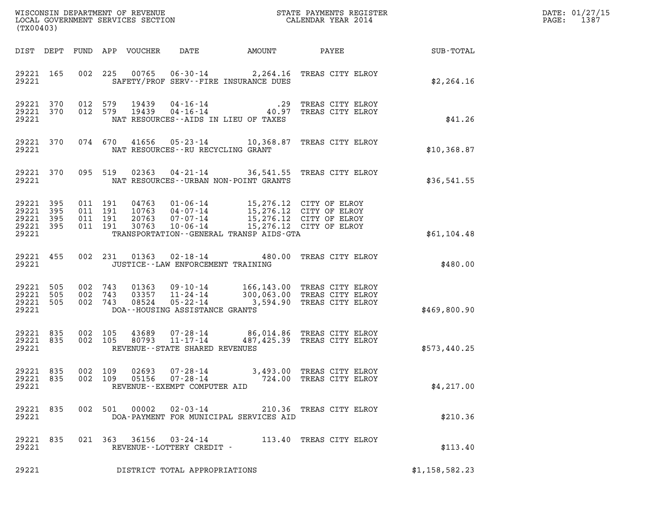| DATE: | 01/27/15 |
|-------|----------|
| PAGE: | 1387     |

| (TX00403)                                                 |  |                                          |                            |                                                                    |                                                                                                                                                                                                                             | %WISCONSIN DEPARTMENT OF REVENUE $$\tt STATE$ PAYMENTS REGISTER LOCAL GOVERNMENT SERVICES SECTION $$\tt CALEINDAR$ YEAR 2014                           |                        | DATE: 01/27/15<br>1387<br>$\mathtt{PAGE:}$ |
|-----------------------------------------------------------|--|------------------------------------------|----------------------------|--------------------------------------------------------------------|-----------------------------------------------------------------------------------------------------------------------------------------------------------------------------------------------------------------------------|--------------------------------------------------------------------------------------------------------------------------------------------------------|------------------------|--------------------------------------------|
|                                                           |  |                                          | DIST DEPT FUND APP VOUCHER | DATE                                                               |                                                                                                                                                                                                                             |                                                                                                                                                        | AMOUNT PAYEE SUB-TOTAL |                                            |
| 29221 165<br>29221                                        |  |                                          |                            |                                                                    | SAFETY/PROF SERV--FIRE INSURANCE DUES                                                                                                                                                                                       | 002 225 00765 06-30-14 2,264.16 TREAS CITY ELROY                                                                                                       | \$2, 264.16            |                                            |
| 29221 370<br>29221 370<br>29221                           |  |                                          |                            |                                                                    | NAT RESOURCES--AIDS IN LIEU OF TAXES                                                                                                                                                                                        | 012 579 19439 04-16-14 .29 TREAS CITY ELROY<br>012 579 19439 04-16-14 40.97 TREAS CITY ELROY                                                           | \$41.26                |                                            |
| 29221 370<br>29221                                        |  |                                          |                            | NAT RESOURCES--RU RECYCLING GRANT                                  |                                                                                                                                                                                                                             | 074 670 41656 05-23-14 10,368.87 TREAS CITY ELROY                                                                                                      | \$10,368.87            |                                            |
| 29221 370<br>29221                                        |  |                                          |                            |                                                                    | NAT RESOURCES--URBAN NON-POINT GRANTS                                                                                                                                                                                       | 095 519 02363 04-21-14 36,541.55 TREAS CITY ELROY                                                                                                      | \$36,541.55            |                                            |
| 29221 395<br>29221 395<br>29221 395<br>29221 395<br>29221 |  | 011 191<br>011 191<br>011 191<br>011 191 |                            |                                                                    | 04763  01-06-14  15,276.12  CITY OF ELROY<br>10763  04-07-14  15,276.12  CITY OF ELROY<br>20763  07-07-14  15,276.12  CITY OF ELROY<br>30763  10-06-14  15,276.12  CITY OF ELROY<br>TRANSPORTATION--GENERAL TRANSP AIDS-GTA |                                                                                                                                                        | \$61,104.48            |                                            |
| 29221 455<br>29221                                        |  |                                          |                            | JUSTICE - - LAW ENFORCEMENT TRAINING                               |                                                                                                                                                                                                                             | 002 231 01363 02-18-14 480.00 TREAS CITY ELROY                                                                                                         | \$480.00               |                                            |
| 29221 505<br>29221 505<br>29221 505<br>29221              |  | 002 743                                  |                            | DOA--HOUSING ASSISTANCE GRANTS                                     |                                                                                                                                                                                                                             | 002 743 01363 09-10-14 166,143.00 TREAS CITY ELROY<br>002 743 03357 11-24-14 300,063.00 TREAS CITY ELROY<br>08524  05-22-14  3,594.90 TREAS CITY ELROY | \$469,800.90           |                                            |
| 29221 835<br>29221 835<br>29221                           |  | 002 105<br>002 105                       | 80793                      | 43689 07-28-14<br>$11 - 17 - 14$<br>REVENUE--STATE SHARED REVENUES |                                                                                                                                                                                                                             | 86,014.86 TREAS CITY ELROY<br>487,425.39 TREAS CITY ELROY                                                                                              | \$573,440.25           |                                            |
| 29221 835<br>29221 835<br>29221                           |  | 002 109<br>002 109                       | 02693<br>05156             | $07 - 28 - 14$<br>07-28-14<br>REVENUE--EXEMPT COMPUTER AID         |                                                                                                                                                                                                                             | 3,493.00 TREAS CITY ELROY<br>724.00 TREAS CITY ELROY                                                                                                   | \$4,217.00             |                                            |
| 29221 835<br>29221                                        |  | 002 501                                  | 00002                      | 02-03-14                                                           | DOA-PAYMENT FOR MUNICIPAL SERVICES AID                                                                                                                                                                                      | 210.36 TREAS CITY ELROY                                                                                                                                | \$210.36               |                                            |
| 29221 835<br>29221                                        |  |                                          |                            | 021 363 36156 03-24-14<br>REVENUE--LOTTERY CREDIT -                |                                                                                                                                                                                                                             | 113.40 TREAS CITY ELROY                                                                                                                                | \$113.40               |                                            |
| 29221                                                     |  |                                          |                            | DISTRICT TOTAL APPROPRIATIONS                                      |                                                                                                                                                                                                                             |                                                                                                                                                        | \$1,158,582.23         |                                            |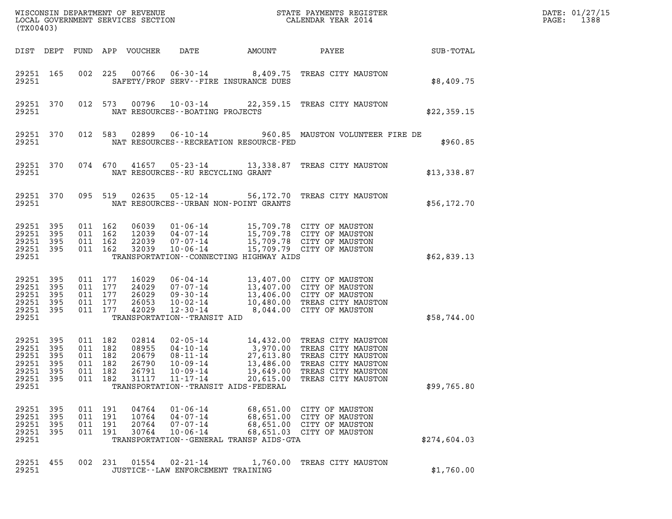| $\mathtt{DATE}$ : | 01/27/15 |
|-------------------|----------|
| PAGE:             | 1388     |

| (TX00403)                                                   |                                         |                                                    |                   | WISCONSIN DEPARTMENT OF REVENUE<br>LOCAL GOVERNMENT SERVICES SECTION |                                                                                                        |                                                                                                                        | STATE PAYMENTS REGISTER<br>CALENDAR YEAR 2014                                                                                                   |              | DATE: 01/27/15<br>PAGE:<br>1388 |
|-------------------------------------------------------------|-----------------------------------------|----------------------------------------------------|-------------------|----------------------------------------------------------------------|--------------------------------------------------------------------------------------------------------|------------------------------------------------------------------------------------------------------------------------|-------------------------------------------------------------------------------------------------------------------------------------------------|--------------|---------------------------------|
| DIST DEPT                                                   |                                         |                                                    |                   | FUND APP VOUCHER                                                     | DATE                                                                                                   | AMOUNT                                                                                                                 | PAYEE                                                                                                                                           | SUB-TOTAL    |                                 |
| 29251 165<br>29251                                          |                                         | 002                                                | 225               | 00766                                                                | 06-30-14                                                                                               | SAFETY/PROF SERV--FIRE INSURANCE DUES                                                                                  | 8,409.75 TREAS CITY MAUSTON                                                                                                                     | \$8,409.75   |                                 |
| 29251 370<br>29251                                          |                                         | 012 573                                            |                   | 00796                                                                | $10 - 03 - 14$<br>NAT RESOURCES - - BOATING PROJECTS                                                   |                                                                                                                        | 22,359.15 TREAS CITY MAUSTON                                                                                                                    | \$22,359.15  |                                 |
| 29251 370<br>29251                                          |                                         | 012 583                                            |                   | 02899                                                                | 06-10-14                                                                                               | NAT RESOURCES - - RECREATION RESOURCE - FED                                                                            | 960.85 MAUSTON VOLUNTEER FIRE DE                                                                                                                | \$960.85     |                                 |
| 29251 370<br>29251                                          |                                         | 074 670                                            |                   | 41657                                                                | 05-23-14<br>NAT RESOURCES - - RU RECYCLING GRANT                                                       | 13,338.87                                                                                                              | TREAS CITY MAUSTON                                                                                                                              | \$13,338.87  |                                 |
| 29251 370<br>29251                                          |                                         | 095 519                                            |                   | 02635                                                                | 05-12-14                                                                                               | NAT RESOURCES - - URBAN NON-POINT GRANTS                                                                               | 56,172.70 TREAS CITY MAUSTON                                                                                                                    | \$56,172.70  |                                 |
| 29251<br>29251<br>29251<br>29251<br>29251                   | 395<br>395<br>395<br>395                | 011 162<br>011 162<br>011 162<br>011 162           |                   | 06039<br>12039<br>22039<br>32039                                     | $01 - 06 - 14$<br>04-07-14<br>07-07-14<br>$10 - 06 - 14$                                               | TRANSPORTATION - CONNECTING HIGHWAY AIDS                                                                               | 15,709.78 CITY OF MAUSTON<br>15,709.78 CITY OF MAUSTON<br>15,709.78 CITY OF MAUSTON<br>15,709.79 CITY OF MAUSTON                                | \$62,839.13  |                                 |
| 29251<br>29251<br>29251<br>29251<br>29251<br>29251          | 395<br>395<br>395<br>395<br>395         | 011 177<br>011 177<br>011 177<br>011<br>011 177    | 177               | 16029<br>24029<br>26029<br>26053<br>42029                            | 06-04-14<br>07-07-14<br>09-30-14<br>$10 - 02 - 14$<br>$12 - 30 - 14$<br>TRANSPORTATION - - TRANSIT AID |                                                                                                                        | 13,407.00 CITY OF MAUSTON<br>13,407.00 CITY OF MAUSTON<br>13,406.00 CITY OF MAUSTON<br>10,480.00 TREAS CITY MAUSTON<br>8,044.00 CITY OF MAUSTON | \$58,744.00  |                                 |
| 29251<br>29251<br>29251<br>29251<br>29251<br>29251<br>29251 | 395<br>395<br>395<br>395<br>395<br>-395 | 011 182<br>011<br>011<br>011 182<br>011<br>011 182 | 182<br>182<br>182 | 02814<br>08955<br>20679<br>26790<br>26791<br>31117                   | $02 - 05 - 14$<br>$04 - 10 - 14$<br>08-11-14<br>$10 - 09 - 14$<br>$10 - 09 - 14$<br>11-17-14           | 14,432.00<br>3,970.00<br>27,613.80<br>13,486.00<br>19,649.00<br>20,615.00<br>TRANSPORTATION - - TRANSIT AIDS - FEDERAL | TREAS CITY MAUSTON<br>TREAS CITY MAUSTON<br>TREAS CITY MAUSTON<br>TREAS CITY MAUSTON<br>TREAS CITY MAUSTON<br>TREAS CITY MAUSTON                | \$99,765.80  |                                 |
| 29251<br>29251<br>29251<br>29251<br>29251                   | - 395<br>395<br>395<br>395              | 011 191<br>011 191<br>011 191<br>011 191           |                   | 04764<br>10764<br>20764<br>30764                                     | $01 - 06 - 14$<br>$04 - 07 - 14$<br>07-07-14<br>$10 - 06 - 14$                                         | 68,651.00<br>TRANSPORTATION - - GENERAL TRANSP AIDS - GTA                                                              | 68,651.00 CITY OF MAUSTON<br>CITY OF MAUSTON<br>68,651.00 CITY OF MAUSTON<br>68,651.03 CITY OF MAUSTON                                          | \$274,604.03 |                                 |
| 29251 455<br>29251                                          |                                         | 002 231                                            |                   | 01554                                                                | 02-21-14<br>JUSTICE--LAW ENFORCEMENT TRAINING                                                          |                                                                                                                        | 1,760.00 TREAS CITY MAUSTON                                                                                                                     | \$1,760.00   |                                 |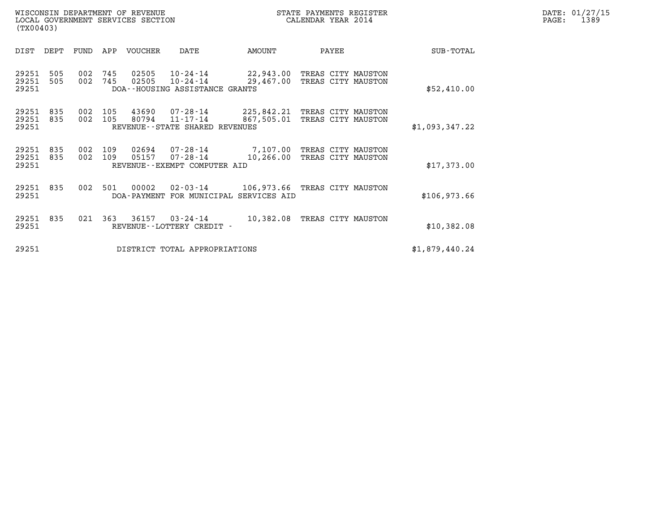| WISCONSIN DEPARTMENT OF REVENUE   | STATE PAYMENTS REGISTER | DATE: 01/27/15 |
|-----------------------------------|-------------------------|----------------|
| LOCAL GOVERNMENT SERVICES SECTION | CALENDAR YEAR 2014      | 1389<br>PAGE:  |

| (TX00403)               |            |            |            |                      |                                                        |                                          |                                          |                |  |
|-------------------------|------------|------------|------------|----------------------|--------------------------------------------------------|------------------------------------------|------------------------------------------|----------------|--|
| DIST                    | DEPT       | FUND       | APP        | <b>VOUCHER</b>       | DATE                                                   | AMOUNT                                   | PAYEE                                    | SUB-TOTAL      |  |
| 29251<br>29251<br>29251 | 505<br>505 | 002<br>002 | 745<br>745 | 02505<br>02505       | 10-24-14<br>10-24-14<br>DOA--HOUSING ASSISTANCE GRANTS | 22,943.00<br>29,467.00                   | TREAS CITY MAUSTON<br>TREAS CITY MAUSTON | \$52,410.00    |  |
| 29251<br>29251<br>29251 | 835<br>835 | 002<br>002 | 105<br>105 | 43690<br>80794       | 07-28-14<br>11-17-14<br>REVENUE--STATE SHARED REVENUES | 225,842.21<br>867,505.01                 | TREAS CITY MAUSTON<br>TREAS CITY MAUSTON | \$1,093,347.22 |  |
| 29251<br>29251<br>29251 | 835<br>835 | 002<br>002 | 109<br>109 | 02694<br>05157       | 07-28-14<br>07-28-14<br>REVENUE--EXEMPT COMPUTER AID   | 7,107.00<br>10,266.00                    | TREAS CITY MAUSTON<br>TREAS CITY MAUSTON | \$17,373.00    |  |
| 29251<br>29251          | 835        | 002        | 501        | 00002<br>DOA-PAYMENT | 02-03-14                                               | 106,973.66<br>FOR MUNICIPAL SERVICES AID | TREAS CITY MAUSTON                       | \$106,973.66   |  |
| 29251<br>29251          | 835        | 021        | 363        | 36157                | $03 - 24 - 14$<br>REVENUE - - LOTTERY CREDIT -         | 10,382.08                                | TREAS CITY MAUSTON                       | \$10,382.08    |  |
| 29251                   |            |            |            |                      | DISTRICT TOTAL APPROPRIATIONS                          |                                          |                                          | \$1,879,440.24 |  |

(TX00403)